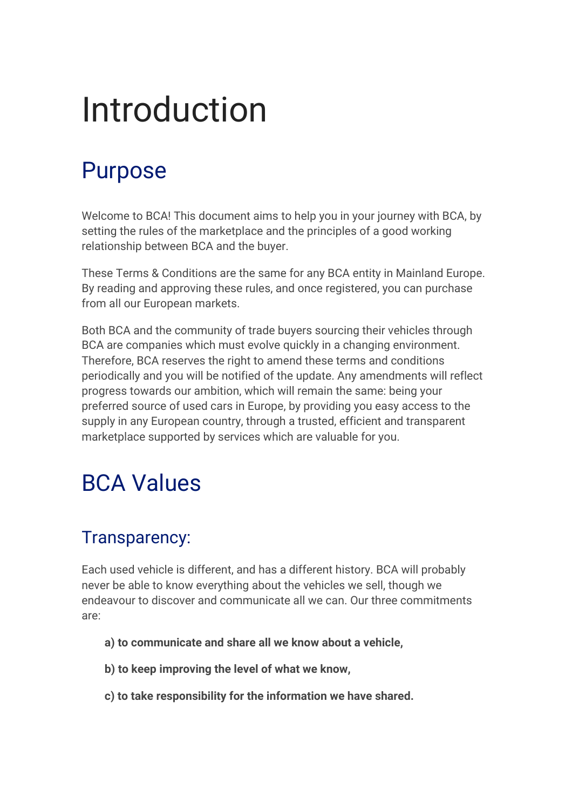# Introduction

### Purpose

Welcome to BCA! This document aims to help you in your journey with BCA, by setting the rules of the marketplace and the principles of a good working relationship between BCA and the buyer.

These Terms & Conditions are the same for any BCA entity in Mainland Europe. By reading and approving these rules, and once registered, you can purchase from all our European markets.

Both BCA and the community of trade buyers sourcing their vehicles through BCA are companies which must evolve quickly in a changing environment. Therefore, BCA reserves the right to amend these terms and conditions periodically and you will be notified of the update. Any amendments will reflect progress towards our ambition, which will remain the same: being your preferred source of used cars in Europe, by providing you easy access to the supply in any European country, through a trusted, efficient and transparent marketplace supported by services which are valuable for you.

### BCA Values

### Transparency:

Each used vehicle is different, and has a different history. BCA will probably never be able to know everything about the vehicles we sell, though we endeavour to discover and communicate all we can. Our three commitments are:

- **a) to communicate and share all we know about a vehicle,**
- **b) to keep improving the level of what we know,**
- **c) to take responsibility for the information we have shared.**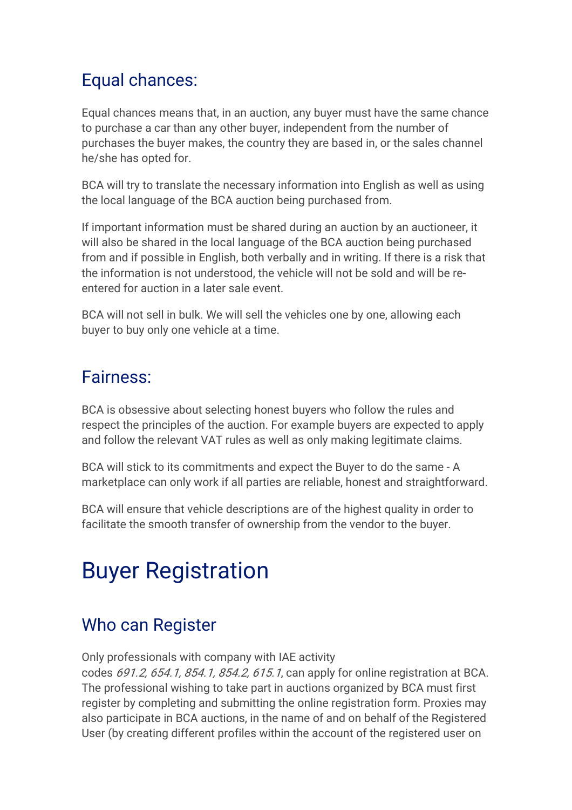### Equal chances:

Equal chances means that, in an auction, any buyer must have the same chance to purchase a car than any other buyer, independent from the number of purchases the buyer makes, the country they are based in, or the sales channel he/she has opted for.

BCA will try to translate the necessary information into English as well as using the local language of the BCA auction being purchased from.

If important information must be shared during an auction by an auctioneer, it will also be shared in the local language of the BCA auction being purchased from and if possible in English, both verbally and in writing. If there is a risk that the information is not understood, the vehicle will not be sold and will be reentered for auction in a later sale event.

BCA will not sell in bulk. We will sell the vehicles one by one, allowing each buyer to buy only one vehicle at a time.

### Fairness:

BCA is obsessive about selecting honest buyers who follow the rules and respect the principles of the auction. For example buyers are expected to apply and follow the relevant VAT rules as well as only making legitimate claims.

BCA will stick to its commitments and expect the Buyer to do the same - A marketplace can only work if all parties are reliable, honest and straightforward.

BCA will ensure that vehicle descriptions are of the highest quality in order to facilitate the smooth transfer of ownership from the vendor to the buyer.

### Buyer Registration

### Who can Register

Only professionals with company with IAE activity

codes 691.2, 654.1, 854.1, 854.2, 615.1, can apply for online registration at BCA. The professional wishing to take part in auctions organized by BCA must first register by completing and submitting the online registration form. Proxies may also participate in BCA auctions, in the name of and on behalf of the Registered User (by creating different profiles within the account of the registered user on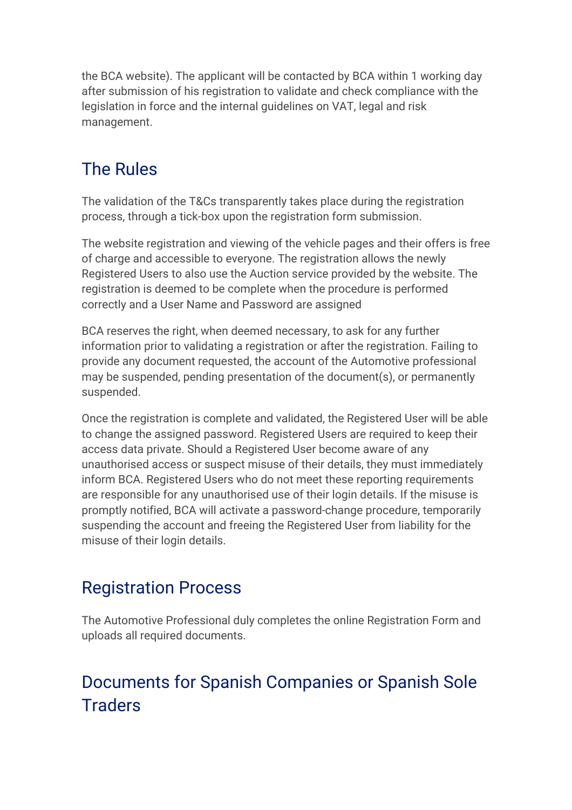the BCA website). The applicant will be contacted by BCA within 1 working day after submission of his registration to validate and check compliance with the legislation in force and the internal guidelines on VAT, legal and risk management.

### The Rules

The validation of the T&Cs transparently takes place during the registration process, through a tick-box upon the registration form submission.

The website registration and viewing of the vehicle pages and their offers is free of charge and accessible to everyone. The registration allows the newly Registered Users to also use the Auction service provided by the website. The registration is deemed to be complete when the procedure is performed correctly and a User Name and Password are assigned

BCA reserves the right, when deemed necessary, to ask for any further information prior to validating a registration or after the registration. Failing to provide any document requested, the account of the Automotive professional may be suspended, pending presentation of the document(s), or permanently suspended.

Once the registration is complete and validated, the Registered User will be able to change the assigned password. Registered Users are required to keep their access data private. Should a Registered User become aware of any unauthorised access or suspect misuse of their details, they must immediately inform BCA. Registered Users who do not meet these reporting requirements are responsible for any unauthorised use of their login details. If the misuse is promptly notified, BCA will activate a password-change procedure, temporarily suspending the account and freeing the Registered User from liability for the misuse of their login details.

### Registration Process

The Automotive Professional duly completes the online Registration Form and uploads all required documents.

### Documents for Spanish Companies or Spanish Sole **Traders**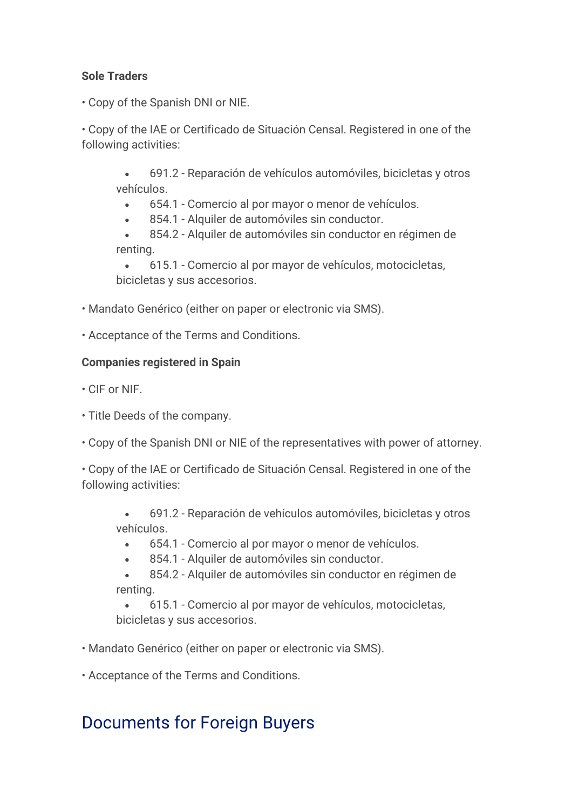#### **Sole Traders**

• Copy of the Spanish DNI or NIE.

• Copy of the IAE or Certificado de Situación Censal. Registered in one of the following activities:

• 691.2 - Reparación de vehículos automóviles, bicicletas y otros vehículos.

• 654.1 - Comercio al por mayor o menor de vehículos.

854.1 - Alquiler de automóviles sin conductor.

• 854.2 - Alquiler de automóviles sin conductor en régimen de renting.

• 615.1 - Comercio al por mayor de vehículos, motocicletas, bicicletas y sus accesorios.

• Mandato Genérico (either on paper or electronic via SMS).

• Acceptance of the Terms and Conditions.

#### **Companies registered in Spain**

• CIF or NIF.

- Title Deeds of the company.
- Copy of the Spanish DNI or NIE of the representatives with power of attorney.

• Copy of the IAE or Certificado de Situación Censal. Registered in one of the following activities:

• 691.2 - Reparación de vehículos automóviles, bicicletas y otros vehículos.

• 654.1 - Comercio al por mayor o menor de vehículos.

854.1 - Alquiler de automóviles sin conductor.

• 854.2 - Alquiler de automóviles sin conductor en régimen de renting.

• 615.1 - Comercio al por mayor de vehículos, motocicletas, bicicletas y sus accesorios.

• Mandato Genérico (either on paper or electronic via SMS).

• Acceptance of the Terms and Conditions.

### Documents for Foreign Buyers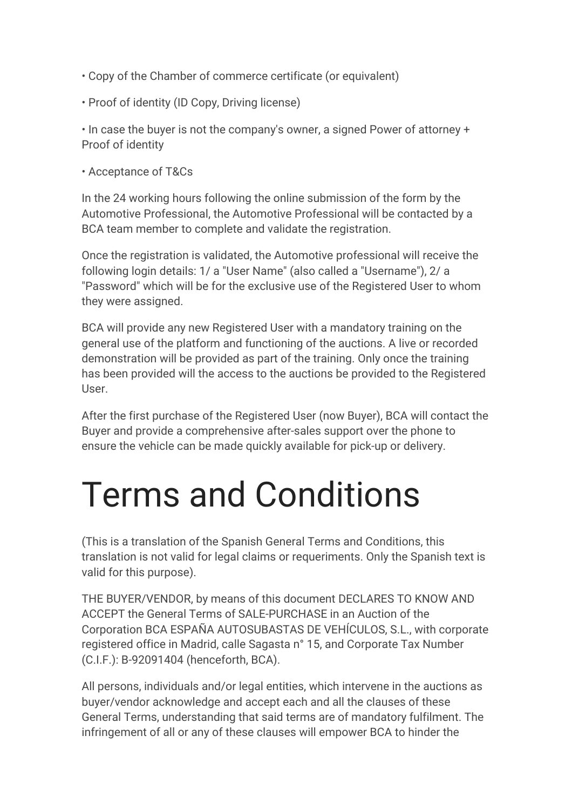- Copy of the Chamber of commerce certificate (or equivalent)
- Proof of identity (ID Copy, Driving license)

• In case the buyer is not the company's owner, a signed Power of attorney + Proof of identity

• Acceptance of T&Cs

In the 24 working hours following the online submission of the form by the Automotive Professional, the Automotive Professional will be contacted by a BCA team member to complete and validate the registration.

Once the registration is validated, the Automotive professional will receive the following login details: 1/ a "User Name" (also called a "Username"), 2/ a "Password" which will be for the exclusive use of the Registered User to whom they were assigned.

BCA will provide any new Registered User with a mandatory training on the general use of the platform and functioning of the auctions. A live or recorded demonstration will be provided as part of the training. Only once the training has been provided will the access to the auctions be provided to the Registered User.

After the first purchase of the Registered User (now Buyer), BCA will contact the Buyer and provide a comprehensive after-sales support over the phone to ensure the vehicle can be made quickly available for pick-up or delivery.

# Terms and Conditions

(This is a translation of the Spanish General Terms and Conditions, this translation is not valid for legal claims or requeriments. Only the Spanish text is valid for this purpose).

THE BUYER/VENDOR, by means of this document DECLARES TO KNOW AND ACCEPT the General Terms of SALE-PURCHASE in an Auction of the Corporation BCA ESPAÑA AUTOSUBASTAS DE VEHÍCULOS, S.L., with corporate registered office in Madrid, calle Sagasta n° 15, and Corporate Tax Number (C.I.F.): B-92091404 (henceforth, BCA).

All persons, individuals and/or legal entities, which intervene in the auctions as buyer/vendor acknowledge and accept each and all the clauses of these General Terms, understanding that said terms are of mandatory fulfilment. The infringement of all or any of these clauses will empower BCA to hinder the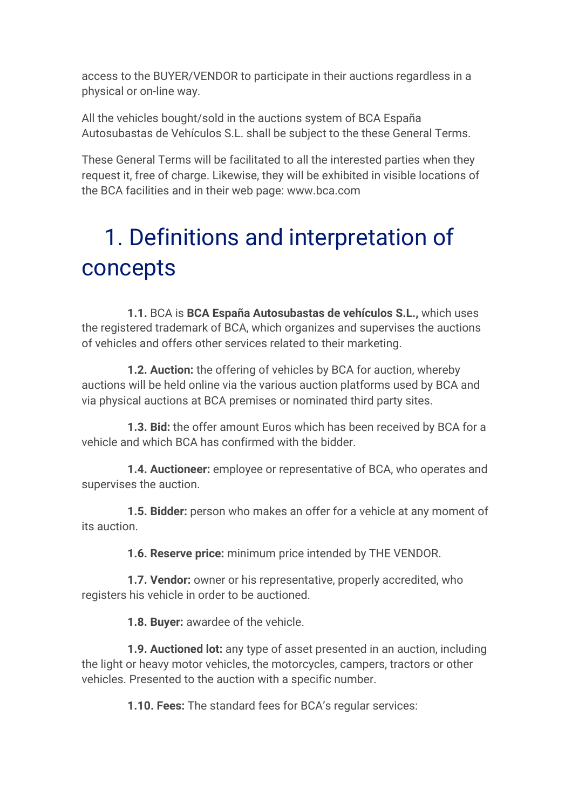access to the BUYER/VENDOR to participate in their auctions regardless in a physical or on-line way.

All the vehicles bought/sold in the auctions system of BCA España Autosubastas de Vehículos S.L. shall be subject to the these General Terms.

These General Terms will be facilitated to all the interested parties when they request it, free of charge. Likewise, they will be exhibited in visible locations of the BCA facilities and in their web page: www.bca.com

## 1. Definitions and interpretation of concepts

 **1.1.** BCA is **BCA España Autosubastas de vehículos S.L.,** which uses the registered trademark of BCA, which organizes and supervises the auctions of vehicles and offers other services related to their marketing.

 **1.2. Auction:** the offering of vehicles by BCA for auction, whereby auctions will be held online via the various auction platforms used by BCA and via physical auctions at BCA premises or nominated third party sites.

 **1.3. Bid:** the offer amount Euros which has been received by BCA for a vehicle and which BCA has confirmed with the bidder.

 **1.4. Auctioneer:** employee or representative of BCA, who operates and supervises the auction.

 **1.5. Bidder:** person who makes an offer for a vehicle at any moment of its auction.

**1.6. Reserve price:** minimum price intended by THE VENDOR.

 **1.7. Vendor:** owner or his representative, properly accredited, who registers his vehicle in order to be auctioned.

**1.8. Buyer:** awardee of the vehicle.

 **1.9. Auctioned lot:** any type of asset presented in an auction, including the light or heavy motor vehicles, the motorcycles, campers, tractors or other vehicles. Presented to the auction with a specific number.

**1.10. Fees:** The standard fees for BCA's regular services: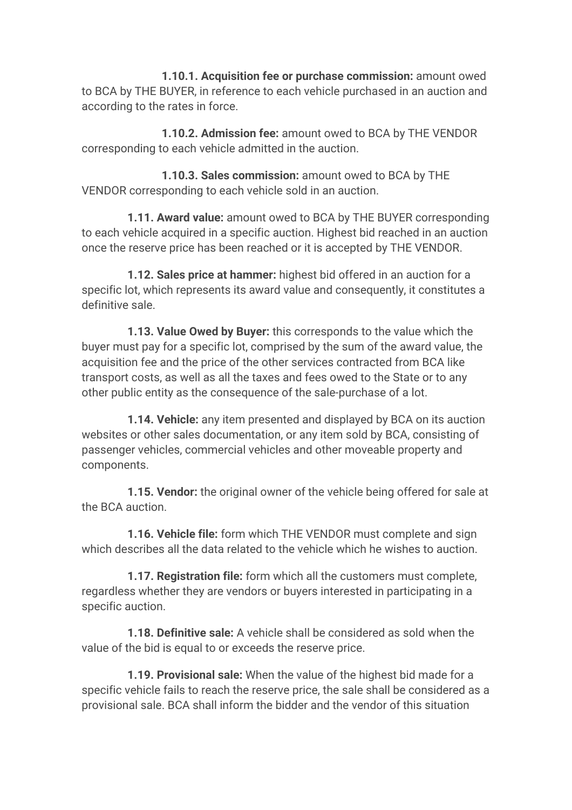**1.10.1. Acquisition fee or purchase commission:** amount owed to BCA by THE BUYER, in reference to each vehicle purchased in an auction and according to the rates in force.

 **1.10.2. Admission fee:** amount owed to BCA by THE VENDOR corresponding to each vehicle admitted in the auction.

 **1.10.3. Sales commission:** amount owed to BCA by THE VENDOR corresponding to each vehicle sold in an auction.

 **1.11. Award value:** amount owed to BCA by THE BUYER corresponding to each vehicle acquired in a specific auction. Highest bid reached in an auction once the reserve price has been reached or it is accepted by THE VENDOR.

 **1.12. Sales price at hammer:** highest bid offered in an auction for a specific lot, which represents its award value and consequently, it constitutes a definitive sale.

 **1.13. Value Owed by Buyer:** this corresponds to the value which the buyer must pay for a specific lot, comprised by the sum of the award value, the acquisition fee and the price of the other services contracted from BCA like transport costs, as well as all the taxes and fees owed to the State or to any other public entity as the consequence of the sale-purchase of a lot.

 **1.14. Vehicle:** any item presented and displayed by BCA on its auction websites or other sales documentation, or any item sold by BCA, consisting of passenger vehicles, commercial vehicles and other moveable property and components.

 **1.15. Vendor:** the original owner of the vehicle being offered for sale at the BCA auction.

 **1.16. Vehicle file:** form which THE VENDOR must complete and sign which describes all the data related to the vehicle which he wishes to auction.

 **1.17. Registration file:** form which all the customers must complete, regardless whether they are vendors or buyers interested in participating in a specific auction.

 **1.18. Definitive sale:** A vehicle shall be considered as sold when the value of the bid is equal to or exceeds the reserve price.

 **1.19. Provisional sale:** When the value of the highest bid made for a specific vehicle fails to reach the reserve price, the sale shall be considered as a provisional sale. BCA shall inform the bidder and the vendor of this situation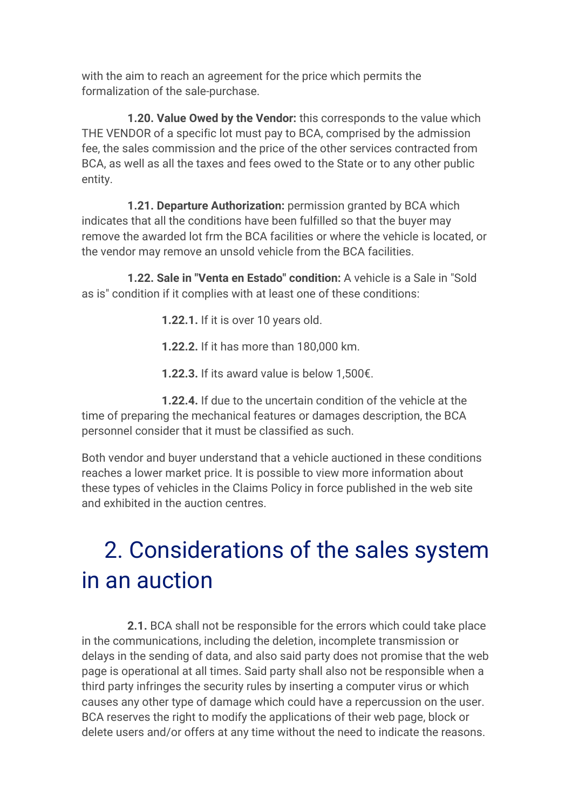with the aim to reach an agreement for the price which permits the formalization of the sale-purchase.

 **1.20. Value Owed by the Vendor:** this corresponds to the value which THE VENDOR of a specific lot must pay to BCA, comprised by the admission fee, the sales commission and the price of the other services contracted from BCA, as well as all the taxes and fees owed to the State or to any other public entity.

 **1.21. Departure Authorization:** permission granted by BCA which indicates that all the conditions have been fulfilled so that the buyer may remove the awarded lot frm the BCA facilities or where the vehicle is located, or the vendor may remove an unsold vehicle from the BCA facilities.

 **1.22. Sale in "Venta en Estado" condition:** A vehicle is a Sale in "Sold as is" condition if it complies with at least one of these conditions:

**1.22.1.** If it is over 10 years old.

**1.22.2.** If it has more than 180,000 km.

**1.22.3.** If its award value is below 1,500€.

 **1.22.4.** If due to the uncertain condition of the vehicle at the time of preparing the mechanical features or damages description, the BCA personnel consider that it must be classified as such.

Both vendor and buyer understand that a vehicle auctioned in these conditions reaches a lower market price. It is possible to view more information about these types of vehicles in the Claims Policy in force published in the web site and exhibited in the auction centres.

## 2. Considerations of the sales system in an auction

 **2.1.** BCA shall not be responsible for the errors which could take place in the communications, including the deletion, incomplete transmission or delays in the sending of data, and also said party does not promise that the web page is operational at all times. Said party shall also not be responsible when a third party infringes the security rules by inserting a computer virus or which causes any other type of damage which could have a repercussion on the user. BCA reserves the right to modify the applications of their web page, block or delete users and/or offers at any time without the need to indicate the reasons.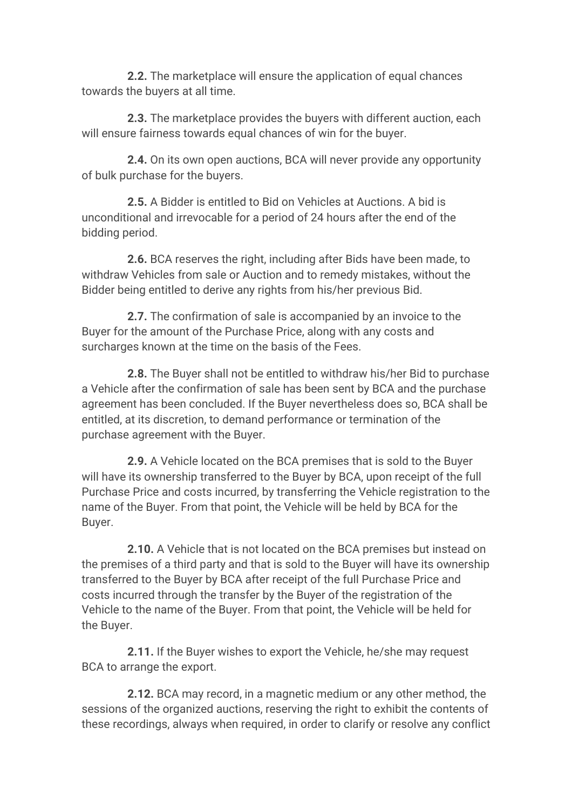**2.2.** The marketplace will ensure the application of equal chances towards the buyers at all time.

 **2.3.** The marketplace provides the buyers with different auction, each will ensure fairness towards equal chances of win for the buyer.

 **2.4.** On its own open auctions, BCA will never provide any opportunity of bulk purchase for the buyers.

 **2.5.** A Bidder is entitled to Bid on Vehicles at Auctions. A bid is unconditional and irrevocable for a period of 24 hours after the end of the bidding period.

 **2.6.** BCA reserves the right, including after Bids have been made, to withdraw Vehicles from sale or Auction and to remedy mistakes, without the Bidder being entitled to derive any rights from his/her previous Bid.

 **2.7.** The confirmation of sale is accompanied by an invoice to the Buyer for the amount of the Purchase Price, along with any costs and surcharges known at the time on the basis of the Fees.

 **2.8.** The Buyer shall not be entitled to withdraw his/her Bid to purchase a Vehicle after the confirmation of sale has been sent by BCA and the purchase agreement has been concluded. If the Buyer nevertheless does so, BCA shall be entitled, at its discretion, to demand performance or termination of the purchase agreement with the Buyer.

 **2.9.** A Vehicle located on the BCA premises that is sold to the Buyer will have its ownership transferred to the Buyer by BCA, upon receipt of the full Purchase Price and costs incurred, by transferring the Vehicle registration to the name of the Buyer. From that point, the Vehicle will be held by BCA for the Buyer.

 **2.10.** A Vehicle that is not located on the BCA premises but instead on the premises of a third party and that is sold to the Buyer will have its ownership transferred to the Buyer by BCA after receipt of the full Purchase Price and costs incurred through the transfer by the Buyer of the registration of the Vehicle to the name of the Buyer. From that point, the Vehicle will be held for the Buyer.

 **2.11.** If the Buyer wishes to export the Vehicle, he/she may request BCA to arrange the export.

 **2.12.** BCA may record, in a magnetic medium or any other method, the sessions of the organized auctions, reserving the right to exhibit the contents of these recordings, always when required, in order to clarify or resolve any conflict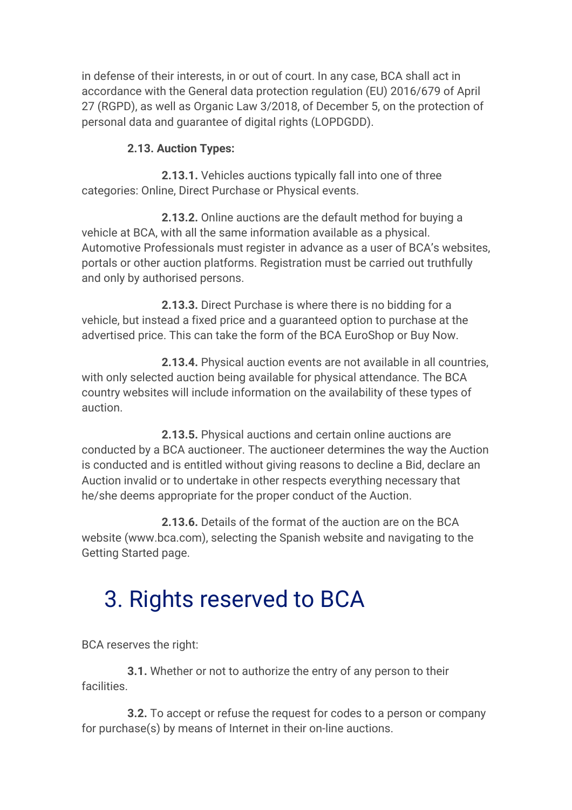in defense of their interests, in or out of court. In any case, BCA shall act in accordance with the General data protection regulation (EU) 2016/679 of April 27 (RGPD), as well as Organic Law 3/2018, of December 5, on the protection of personal data and guarantee of digital rights (LOPDGDD).

#### **2.13. Auction Types:**

 **2.13.1.** Vehicles auctions typically fall into one of three categories: Online, Direct Purchase or Physical events.

 **2.13.2.** Online auctions are the default method for buying a vehicle at BCA, with all the same information available as a physical. Automotive Professionals must register in advance as a user of BCA's websites, portals or other auction platforms. Registration must be carried out truthfully and only by authorised persons.

 **2.13.3.** Direct Purchase is where there is no bidding for a vehicle, but instead a fixed price and a guaranteed option to purchase at the advertised price. This can take the form of the BCA EuroShop or Buy Now.

 **2.13.4.** Physical auction events are not available in all countries, with only selected auction being available for physical attendance. The BCA country websites will include information on the availability of these types of auction.

 **2.13.5.** Physical auctions and certain online auctions are conducted by a BCA auctioneer. The auctioneer determines the way the Auction is conducted and is entitled without giving reasons to decline a Bid, declare an Auction invalid or to undertake in other respects everything necessary that he/she deems appropriate for the proper conduct of the Auction.

 **2.13.6.** Details of the format of the auction are on the BCA website (www.bca.com), selecting the Spanish website and navigating to the Getting Started page.

## 3. Rights reserved to BCA

BCA reserves the right:

 **3.1.** Whether or not to authorize the entry of any person to their facilities.

 **3.2.** To accept or refuse the request for codes to a person or company for purchase(s) by means of Internet in their on-line auctions.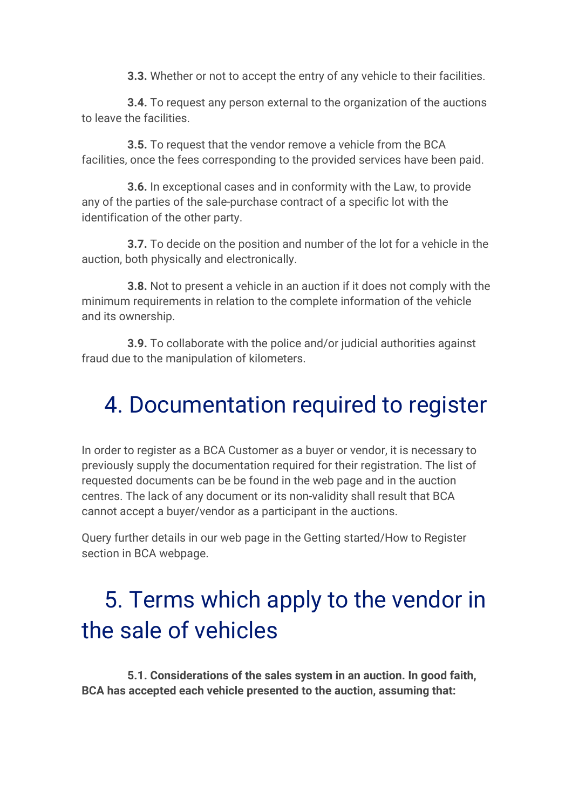**3.3.** Whether or not to accept the entry of any vehicle to their facilities.

 **3.4.** To request any person external to the organization of the auctions to leave the facilities.

 **3.5.** To request that the vendor remove a vehicle from the BCA facilities, once the fees corresponding to the provided services have been paid.

 **3.6.** In exceptional cases and in conformity with the Law, to provide any of the parties of the sale-purchase contract of a specific lot with the identification of the other party.

 **3.7.** To decide on the position and number of the lot for a vehicle in the auction, both physically and electronically.

 **3.8.** Not to present a vehicle in an auction if it does not comply with the minimum requirements in relation to the complete information of the vehicle and its ownership.

 **3.9.** To collaborate with the police and/or judicial authorities against fraud due to the manipulation of kilometers.

### 4. Documentation required to register

In order to register as a BCA Customer as a buyer or vendor, it is necessary to previously supply the documentation required for their registration. The list of requested documents can be be found in the web page and in the auction centres. The lack of any document or its non-validity shall result that BCA cannot accept a buyer/vendor as a participant in the auctions.

Query further details in our web page in the Getting started/How to Register section in BCA webpage.

## 5. Terms which apply to the vendor in the sale of vehicles

 **5.1. Considerations of the sales system in an auction. In good faith, BCA has accepted each vehicle presented to the auction, assuming that:**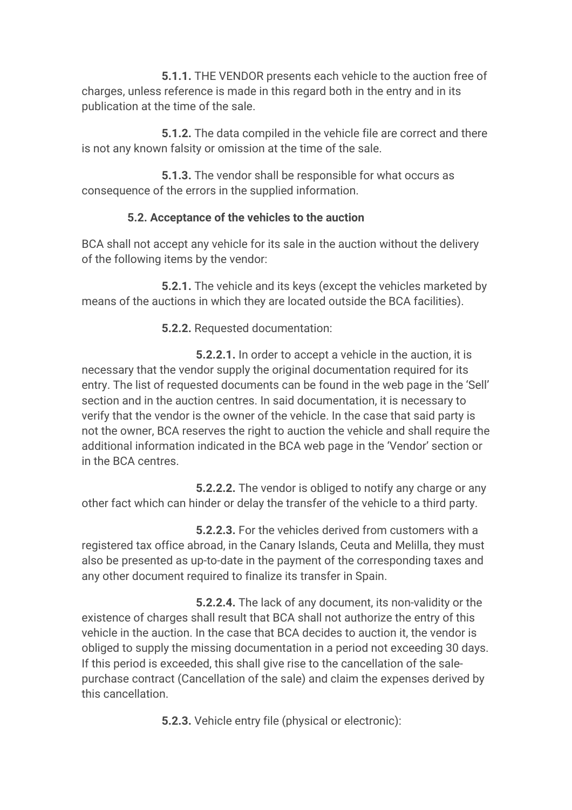**5.1.1.** THE VENDOR presents each vehicle to the auction free of charges, unless reference is made in this regard both in the entry and in its publication at the time of the sale.

 **5.1.2.** The data compiled in the vehicle file are correct and there is not any known falsity or omission at the time of the sale.

 **5.1.3.** The vendor shall be responsible for what occurs as consequence of the errors in the supplied information.

#### **5.2. Acceptance of the vehicles to the auction**

BCA shall not accept any vehicle for its sale in the auction without the delivery of the following items by the vendor:

 **5.2.1.** The vehicle and its keys (except the vehicles marketed by means of the auctions in which they are located outside the BCA facilities).

**5.2.2.** Requested documentation:

 **5.2.2.1.** In order to accept a vehicle in the auction, it is necessary that the vendor supply the original documentation required for its entry. The list of requested documents can be found in the web page in the 'Sell' section and in the auction centres. In said documentation, it is necessary to verify that the vendor is the owner of the vehicle. In the case that said party is not the owner, BCA reserves the right to auction the vehicle and shall require the additional information indicated in the BCA web page in the 'Vendor' section or in the BCA centres.

 **5.2.2.2.** The vendor is obliged to notify any charge or any other fact which can hinder or delay the transfer of the vehicle to a third party.

 **5.2.2.3.** For the vehicles derived from customers with a registered tax office abroad, in the Canary Islands, Ceuta and Melilla, they must also be presented as up-to-date in the payment of the corresponding taxes and any other document required to finalize its transfer in Spain.

 **5.2.2.4.** The lack of any document, its non-validity or the existence of charges shall result that BCA shall not authorize the entry of this vehicle in the auction. In the case that BCA decides to auction it, the vendor is obliged to supply the missing documentation in a period not exceeding 30 days. If this period is exceeded, this shall give rise to the cancellation of the salepurchase contract (Cancellation of the sale) and claim the expenses derived by this cancellation.

**5.2.3.** Vehicle entry file (physical or electronic):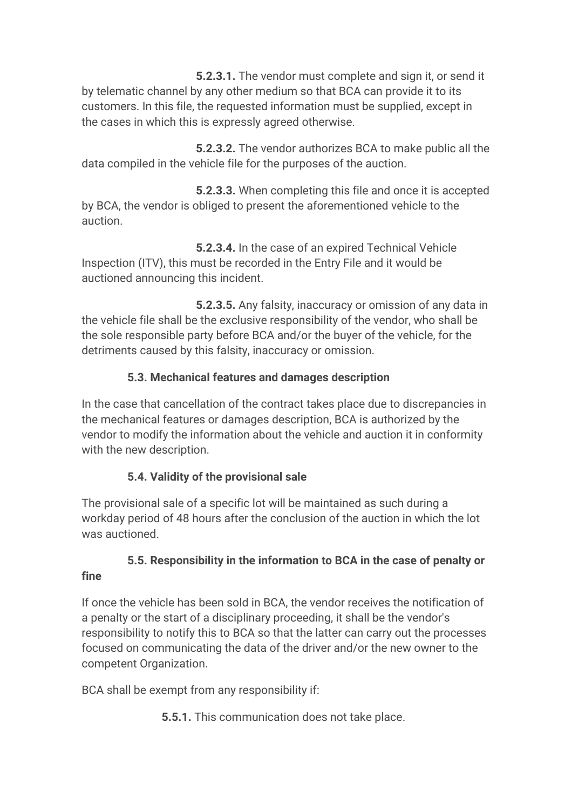**5.2.3.1.** The vendor must complete and sign it, or send it by telematic channel by any other medium so that BCA can provide it to its customers. In this file, the requested information must be supplied, except in the cases in which this is expressly agreed otherwise.

 **5.2.3.2.** The vendor authorizes BCA to make public all the data compiled in the vehicle file for the purposes of the auction.

 **5.2.3.3.** When completing this file and once it is accepted by BCA, the vendor is obliged to present the aforementioned vehicle to the auction.

 **5.2.3.4.** In the case of an expired Technical Vehicle Inspection (ITV), this must be recorded in the Entry File and it would be auctioned announcing this incident.

 **5.2.3.5.** Any falsity, inaccuracy or omission of any data in the vehicle file shall be the exclusive responsibility of the vendor, who shall be the sole responsible party before BCA and/or the buyer of the vehicle, for the detriments caused by this falsity, inaccuracy or omission.

#### **5.3. Mechanical features and damages description**

In the case that cancellation of the contract takes place due to discrepancies in the mechanical features or damages description, BCA is authorized by the vendor to modify the information about the vehicle and auction it in conformity with the new description.

#### **5.4. Validity of the provisional sale**

The provisional sale of a specific lot will be maintained as such during a workday period of 48 hours after the conclusion of the auction in which the lot was auctioned.

### **5.5. Responsibility in the information to BCA in the case of penalty or**

#### **fine**

If once the vehicle has been sold in BCA, the vendor receives the notification of a penalty or the start of a disciplinary proceeding, it shall be the vendor's responsibility to notify this to BCA so that the latter can carry out the processes focused on communicating the data of the driver and/or the new owner to the competent Organization.

BCA shall be exempt from any responsibility if:

**5.5.1.** This communication does not take place.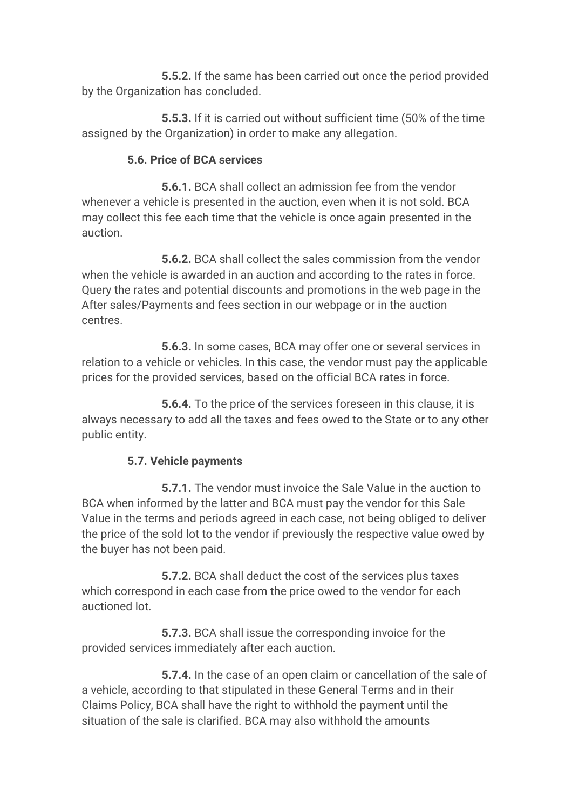**5.5.2.** If the same has been carried out once the period provided by the Organization has concluded.

 **5.5.3.** If it is carried out without sufficient time (50% of the time assigned by the Organization) in order to make any allegation.

#### **5.6. Price of BCA services**

 **5.6.1.** BCA shall collect an admission fee from the vendor whenever a vehicle is presented in the auction, even when it is not sold. BCA may collect this fee each time that the vehicle is once again presented in the auction.

 **5.6.2.** BCA shall collect the sales commission from the vendor when the vehicle is awarded in an auction and according to the rates in force. Query the rates and potential discounts and promotions in the web page in the After sales/Payments and fees section in our webpage or in the auction centres.

 **5.6.3.** In some cases, BCA may offer one or several services in relation to a vehicle or vehicles. In this case, the vendor must pay the applicable prices for the provided services, based on the official BCA rates in force.

 **5.6.4.** To the price of the services foreseen in this clause, it is always necessary to add all the taxes and fees owed to the State or to any other public entity.

#### **5.7. Vehicle payments**

 **5.7.1.** The vendor must invoice the Sale Value in the auction to BCA when informed by the latter and BCA must pay the vendor for this Sale Value in the terms and periods agreed in each case, not being obliged to deliver the price of the sold lot to the vendor if previously the respective value owed by the buyer has not been paid.

 **5.7.2.** BCA shall deduct the cost of the services plus taxes which correspond in each case from the price owed to the vendor for each auctioned lot.

 **5.7.3.** BCA shall issue the corresponding invoice for the provided services immediately after each auction.

 **5.7.4.** In the case of an open claim or cancellation of the sale of a vehicle, according to that stipulated in these General Terms and in their Claims Policy, BCA shall have the right to withhold the payment until the situation of the sale is clarified. BCA may also withhold the amounts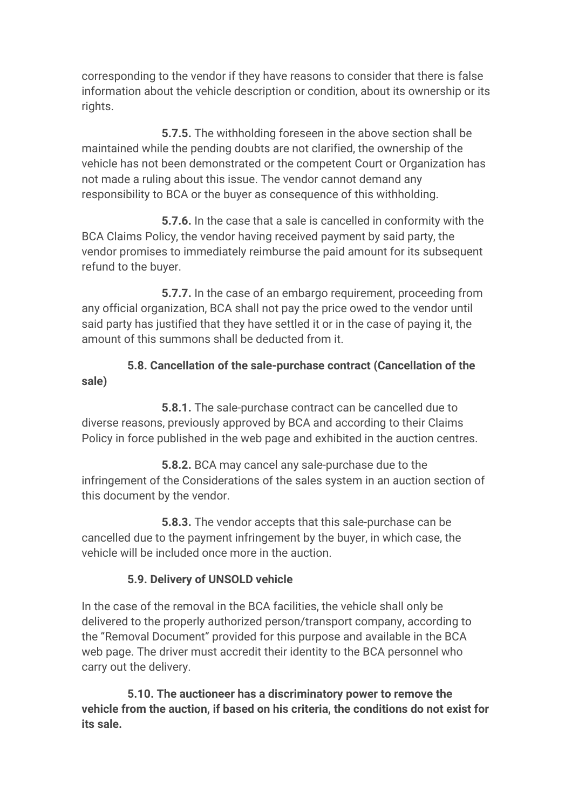corresponding to the vendor if they have reasons to consider that there is false information about the vehicle description or condition, about its ownership or its rights.

 **5.7.5.** The withholding foreseen in the above section shall be maintained while the pending doubts are not clarified, the ownership of the vehicle has not been demonstrated or the competent Court or Organization has not made a ruling about this issue. The vendor cannot demand any responsibility to BCA or the buyer as consequence of this withholding.

 **5.7.6.** In the case that a sale is cancelled in conformity with the BCA Claims Policy, the vendor having received payment by said party, the vendor promises to immediately reimburse the paid amount for its subsequent refund to the buyer.

 **5.7.7.** In the case of an embargo requirement, proceeding from any official organization, BCA shall not pay the price owed to the vendor until said party has justified that they have settled it or in the case of paying it, the amount of this summons shall be deducted from it.

 **5.8. Cancellation of the sale-purchase contract (Cancellation of the sale)**

 **5.8.1.** The sale-purchase contract can be cancelled due to diverse reasons, previously approved by BCA and according to their Claims Policy in force published in the web page and exhibited in the auction centres.

 **5.8.2.** BCA may cancel any sale-purchase due to the infringement of the Considerations of the sales system in an auction section of this document by the vendor.

 **5.8.3.** The vendor accepts that this sale-purchase can be cancelled due to the payment infringement by the buyer, in which case, the vehicle will be included once more in the auction.

#### **5.9. Delivery of UNSOLD vehicle**

In the case of the removal in the BCA facilities, the vehicle shall only be delivered to the properly authorized person/transport company, according to the "Removal Document" provided for this purpose and available in the BCA web page. The driver must accredit their identity to the BCA personnel who carry out the delivery.

 **5.10. The auctioneer has a discriminatory power to remove the vehicle from the auction, if based on his criteria, the conditions do not exist for its sale.**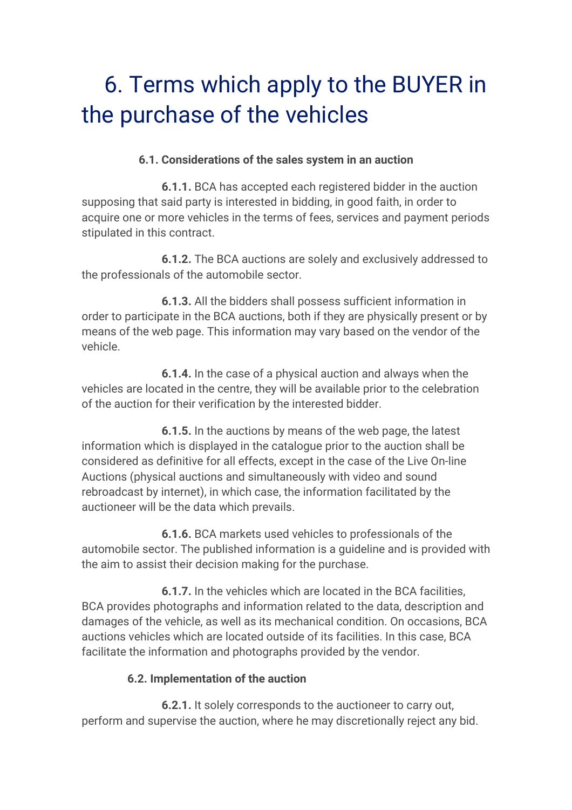## 6. Terms which apply to the BUYER in the purchase of the vehicles

#### **6.1. Considerations of the sales system in an auction**

 **6.1.1.** BCA has accepted each registered bidder in the auction supposing that said party is interested in bidding, in good faith, in order to acquire one or more vehicles in the terms of fees, services and payment periods stipulated in this contract.

 **6.1.2.** The BCA auctions are solely and exclusively addressed to the professionals of the automobile sector.

 **6.1.3.** All the bidders shall possess sufficient information in order to participate in the BCA auctions, both if they are physically present or by means of the web page. This information may vary based on the vendor of the vehicle.

 **6.1.4.** In the case of a physical auction and always when the vehicles are located in the centre, they will be available prior to the celebration of the auction for their verification by the interested bidder.

 **6.1.5.** In the auctions by means of the web page, the latest information which is displayed in the catalogue prior to the auction shall be considered as definitive for all effects, except in the case of the Live On-line Auctions (physical auctions and simultaneously with video and sound rebroadcast by internet), in which case, the information facilitated by the auctioneer will be the data which prevails.

 **6.1.6.** BCA markets used vehicles to professionals of the automobile sector. The published information is a guideline and is provided with the aim to assist their decision making for the purchase.

 **6.1.7.** In the vehicles which are located in the BCA facilities, BCA provides photographs and information related to the data, description and damages of the vehicle, as well as its mechanical condition. On occasions, BCA auctions vehicles which are located outside of its facilities. In this case, BCA facilitate the information and photographs provided by the vendor.

#### **6.2. Implementation of the auction**

 **6.2.1.** It solely corresponds to the auctioneer to carry out, perform and supervise the auction, where he may discretionally reject any bid.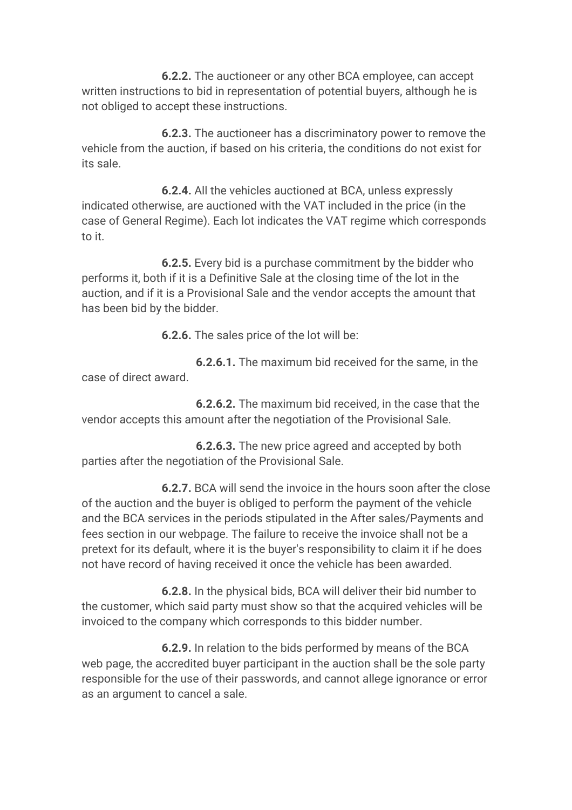**6.2.2.** The auctioneer or any other BCA employee, can accept written instructions to bid in representation of potential buyers, although he is not obliged to accept these instructions.

 **6.2.3.** The auctioneer has a discriminatory power to remove the vehicle from the auction, if based on his criteria, the conditions do not exist for its sale.

 **6.2.4.** All the vehicles auctioned at BCA, unless expressly indicated otherwise, are auctioned with the VAT included in the price (in the case of General Regime). Each lot indicates the VAT regime which corresponds to it.

 **6.2.5.** Every bid is a purchase commitment by the bidder who performs it, both if it is a Definitive Sale at the closing time of the lot in the auction, and if it is a Provisional Sale and the vendor accepts the amount that has been bid by the bidder.

**6.2.6.** The sales price of the lot will be:

 **6.2.6.1.** The maximum bid received for the same, in the case of direct award.

 **6.2.6.2.** The maximum bid received, in the case that the vendor accepts this amount after the negotiation of the Provisional Sale.

 **6.2.6.3.** The new price agreed and accepted by both parties after the negotiation of the Provisional Sale.

 **6.2.7.** BCA will send the invoice in the hours soon after the close of the auction and the buyer is obliged to perform the payment of the vehicle and the BCA services in the periods stipulated in the After sales/Payments and fees section in our webpage. The failure to receive the invoice shall not be a pretext for its default, where it is the buyer's responsibility to claim it if he does not have record of having received it once the vehicle has been awarded.

 **6.2.8.** In the physical bids, BCA will deliver their bid number to the customer, which said party must show so that the acquired vehicles will be invoiced to the company which corresponds to this bidder number.

 **6.2.9.** In relation to the bids performed by means of the BCA web page, the accredited buyer participant in the auction shall be the sole party responsible for the use of their passwords, and cannot allege ignorance or error as an argument to cancel a sale.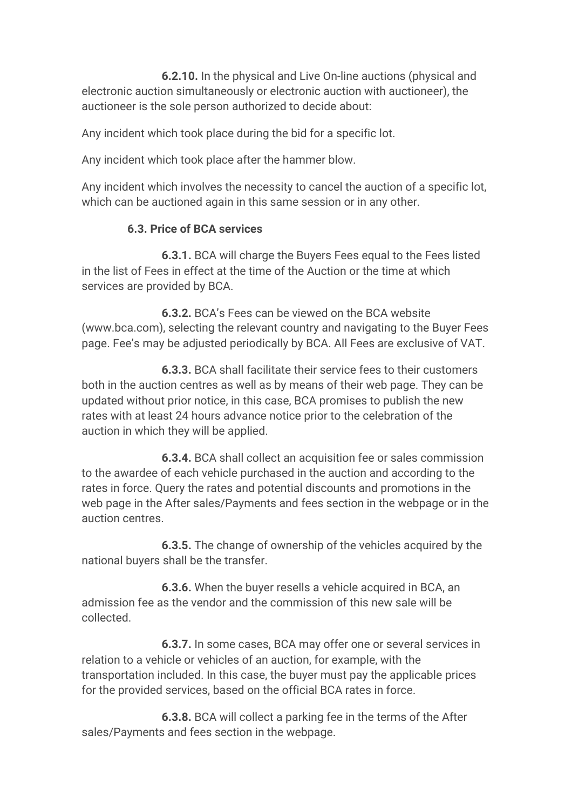**6.2.10.** In the physical and Live On-line auctions (physical and electronic auction simultaneously or electronic auction with auctioneer), the auctioneer is the sole person authorized to decide about:

Any incident which took place during the bid for a specific lot.

Any incident which took place after the hammer blow.

Any incident which involves the necessity to cancel the auction of a specific lot, which can be auctioned again in this same session or in any other.

#### **6.3. Price of BCA services**

 **6.3.1.** BCA will charge the Buyers Fees equal to the Fees listed in the list of Fees in effect at the time of the Auction or the time at which services are provided by BCA.

 **6.3.2.** BCA's Fees can be viewed on the BCA website (www.bca.com), selecting the relevant country and navigating to the Buyer Fees page. Fee's may be adjusted periodically by BCA. All Fees are exclusive of VAT.

 **6.3.3.** BCA shall facilitate their service fees to their customers both in the auction centres as well as by means of their web page. They can be updated without prior notice, in this case, BCA promises to publish the new rates with at least 24 hours advance notice prior to the celebration of the auction in which they will be applied.

 **6.3.4.** BCA shall collect an acquisition fee or sales commission to the awardee of each vehicle purchased in the auction and according to the rates in force. Query the rates and potential discounts and promotions in the web page in the After sales/Payments and fees section in the webpage or in the auction centres.

 **6.3.5.** The change of ownership of the vehicles acquired by the national buyers shall be the transfer.

 **6.3.6.** When the buyer resells a vehicle acquired in BCA, an admission fee as the vendor and the commission of this new sale will be collected.

 **6.3.7.** In some cases, BCA may offer one or several services in relation to a vehicle or vehicles of an auction, for example, with the transportation included. In this case, the buyer must pay the applicable prices for the provided services, based on the official BCA rates in force.

 **6.3.8.** BCA will collect a parking fee in the terms of the After sales/Payments and fees section in the webpage.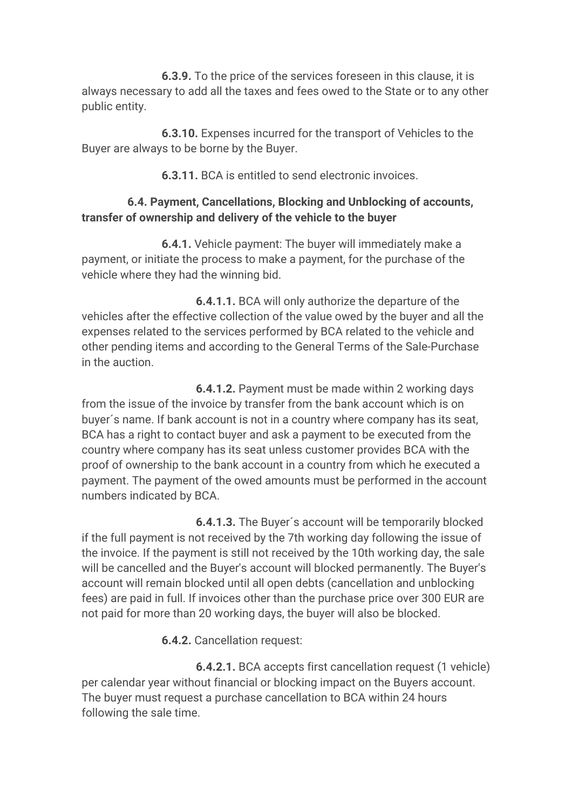**6.3.9.** To the price of the services foreseen in this clause, it is always necessary to add all the taxes and fees owed to the State or to any other public entity.

 **6.3.10.** Expenses incurred for the transport of Vehicles to the Buyer are always to be borne by the Buyer.

**6.3.11.** BCA is entitled to send electronic invoices.

#### **6.4. Payment, Cancellations, Blocking and Unblocking of accounts, transfer of ownership and delivery of the vehicle to the buyer**

 **6.4.1.** Vehicle payment: The buyer will immediately make a payment, or initiate the process to make a payment, for the purchase of the vehicle where they had the winning bid.

 **6.4.1.1.** BCA will only authorize the departure of the vehicles after the effective collection of the value owed by the buyer and all the expenses related to the services performed by BCA related to the vehicle and other pending items and according to the General Terms of the Sale-Purchase in the auction.

 **6.4.1.2.** Payment must be made within 2 working days from the issue of the invoice by transfer from the bank account which is on buyer´s name. If bank account is not in a country where company has its seat, BCA has a right to contact buyer and ask a payment to be executed from the country where company has its seat unless customer provides BCA with the proof of ownership to the bank account in a country from which he executed a payment. The payment of the owed amounts must be performed in the account numbers indicated by BCA.

 **6.4.1.3.** The Buyer´s account will be temporarily blocked if the full payment is not received by the 7th working day following the issue of the invoice. If the payment is still not received by the 10th working day, the sale will be cancelled and the Buyer's account will blocked permanently. The Buyer's account will remain blocked until all open debts (cancellation and unblocking fees) are paid in full. If invoices other than the purchase price over 300 EUR are not paid for more than 20 working days, the buyer will also be blocked.

**6.4.2.** Cancellation request:

 **6.4.2.1.** BCA accepts first cancellation request (1 vehicle) per calendar year without financial or blocking impact on the Buyers account. The buyer must request a purchase cancellation to BCA within 24 hours following the sale time.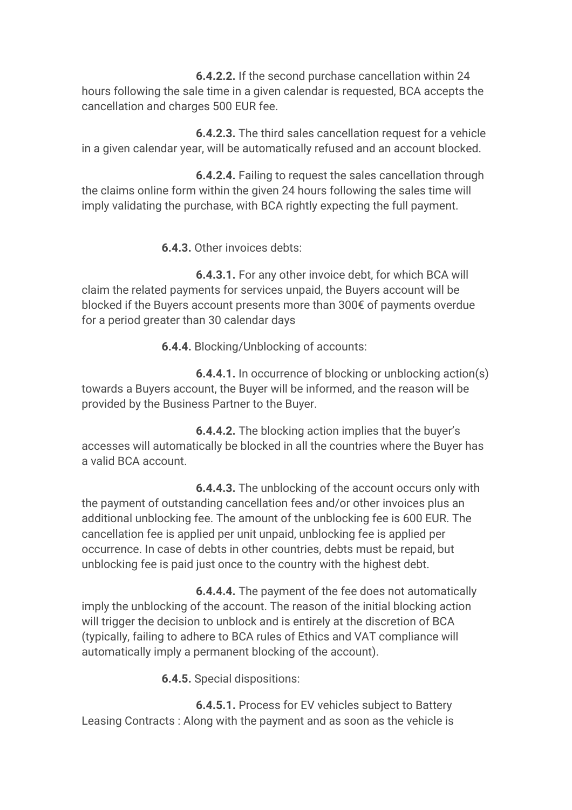**6.4.2.2.** If the second purchase cancellation within 24 hours following the sale time in a given calendar is requested, BCA accepts the cancellation and charges 500 EUR fee.

 **6.4.2.3.** The third sales cancellation request for a vehicle in a given calendar year, will be automatically refused and an account blocked.

 **6.4.2.4.** Failing to request the sales cancellation through the claims online form within the given 24 hours following the sales time will imply validating the purchase, with BCA rightly expecting the full payment.

**6.4.3.** Other invoices debts:

 **6.4.3.1.** For any other invoice debt, for which BCA will claim the related payments for services unpaid, the Buyers account will be blocked if the Buyers account presents more than 300€ of payments overdue for a period greater than 30 calendar days

**6.4.4.** Blocking/Unblocking of accounts:

 **6.4.4.1.** In occurrence of blocking or unblocking action(s) towards a Buyers account, the Buyer will be informed, and the reason will be provided by the Business Partner to the Buyer.

 **6.4.4.2.** The blocking action implies that the buyer's accesses will automatically be blocked in all the countries where the Buyer has a valid BCA account.

 **6.4.4.3.** The unblocking of the account occurs only with the payment of outstanding cancellation fees and/or other invoices plus an additional unblocking fee. The amount of the unblocking fee is 600 EUR. The cancellation fee is applied per unit unpaid, unblocking fee is applied per occurrence. In case of debts in other countries, debts must be repaid, but unblocking fee is paid just once to the country with the highest debt.

 **6.4.4.4.** The payment of the fee does not automatically imply the unblocking of the account. The reason of the initial blocking action will trigger the decision to unblock and is entirely at the discretion of BCA (typically, failing to adhere to BCA rules of Ethics and VAT compliance will automatically imply a permanent blocking of the account).

**6.4.5.** Special dispositions:

 **6.4.5.1.** Process for EV vehicles subject to Battery Leasing Contracts : Along with the payment and as soon as the vehicle is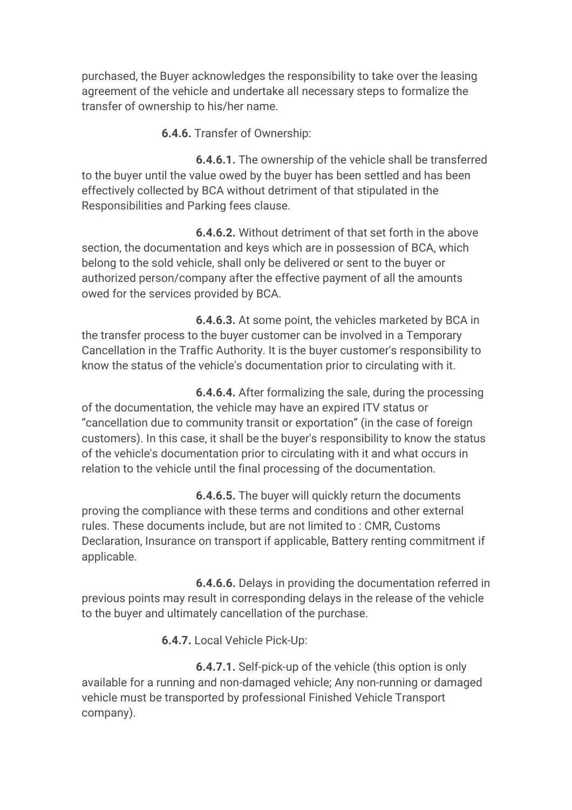purchased, the Buyer acknowledges the responsibility to take over the leasing agreement of the vehicle and undertake all necessary steps to formalize the transfer of ownership to his/her name.

**6.4.6.** Transfer of Ownership:

 **6.4.6.1.** The ownership of the vehicle shall be transferred to the buyer until the value owed by the buyer has been settled and has been effectively collected by BCA without detriment of that stipulated in the Responsibilities and Parking fees clause.

 **6.4.6.2.** Without detriment of that set forth in the above section, the documentation and keys which are in possession of BCA, which belong to the sold vehicle, shall only be delivered or sent to the buyer or authorized person/company after the effective payment of all the amounts owed for the services provided by BCA.

 **6.4.6.3.** At some point, the vehicles marketed by BCA in the transfer process to the buyer customer can be involved in a Temporary Cancellation in the Traffic Authority. It is the buyer customer's responsibility to know the status of the vehicle's documentation prior to circulating with it.

 **6.4.6.4.** After formalizing the sale, during the processing of the documentation, the vehicle may have an expired ITV status or "cancellation due to community transit or exportation" (in the case of foreign customers). In this case, it shall be the buyer's responsibility to know the status of the vehicle's documentation prior to circulating with it and what occurs in relation to the vehicle until the final processing of the documentation.

 **6.4.6.5.** The buyer will quickly return the documents proving the compliance with these terms and conditions and other external rules. These documents include, but are not limited to : CMR, Customs Declaration, Insurance on transport if applicable, Battery renting commitment if applicable.

 **6.4.6.6.** Delays in providing the documentation referred in previous points may result in corresponding delays in the release of the vehicle to the buyer and ultimately cancellation of the purchase.

**6.4.7.** Local Vehicle Pick-Up:

 **6.4.7.1.** Self-pick-up of the vehicle (this option is only available for a running and non-damaged vehicle; Any non-running or damaged vehicle must be transported by professional Finished Vehicle Transport company).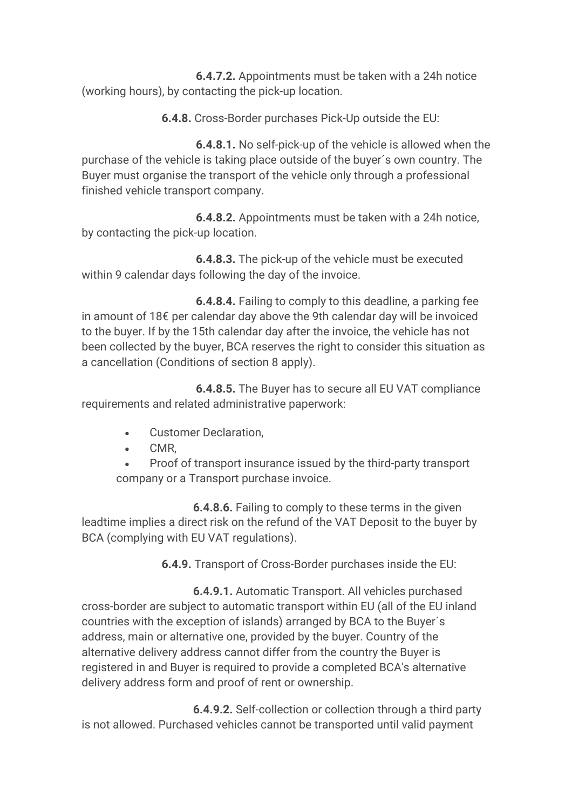**6.4.7.2.** Appointments must be taken with a 24h notice (working hours), by contacting the pick-up location.

**6.4.8.** Cross-Border purchases Pick-Up outside the EU:

 **6.4.8.1.** No self-pick-up of the vehicle is allowed when the purchase of the vehicle is taking place outside of the buyer´s own country. The Buyer must organise the transport of the vehicle only through a professional finished vehicle transport company.

 **6.4.8.2.** Appointments must be taken with a 24h notice, by contacting the pick-up location.

 **6.4.8.3.** The pick-up of the vehicle must be executed within 9 calendar days following the day of the invoice.

 **6.4.8.4.** Failing to comply to this deadline, a parking fee in amount of 18€ per calendar day above the 9th calendar day will be invoiced to the buyer. If by the 15th calendar day after the invoice, the vehicle has not been collected by the buyer, BCA reserves the right to consider this situation as a cancellation (Conditions of section 8 apply).

 **6.4.8.5.** The Buyer has to secure all EU VAT compliance requirements and related administrative paperwork:

- Customer Declaration,
- CMR,
- Proof of transport insurance issued by the third-party transport company or a Transport purchase invoice.

 **6.4.8.6.** Failing to comply to these terms in the given leadtime implies a direct risk on the refund of the VAT Deposit to the buyer by BCA (complying with EU VAT regulations).

**6.4.9.** Transport of Cross-Border purchases inside the EU:

**6.4.9.1.** Automatic Transport. All vehicles purchased cross-border are subject to automatic transport within EU (all of the EU inland countries with the exception of islands) arranged by BCA to the Buyer´s address, main or alternative one, provided by the buyer. Country of the alternative delivery address cannot differ from the country the Buyer is registered in and Buyer is required to provide a completed BCA's alternative delivery address form and proof of rent or ownership.

 **6.4.9.2.** Self-collection or collection through a third party is not allowed. Purchased vehicles cannot be transported until valid payment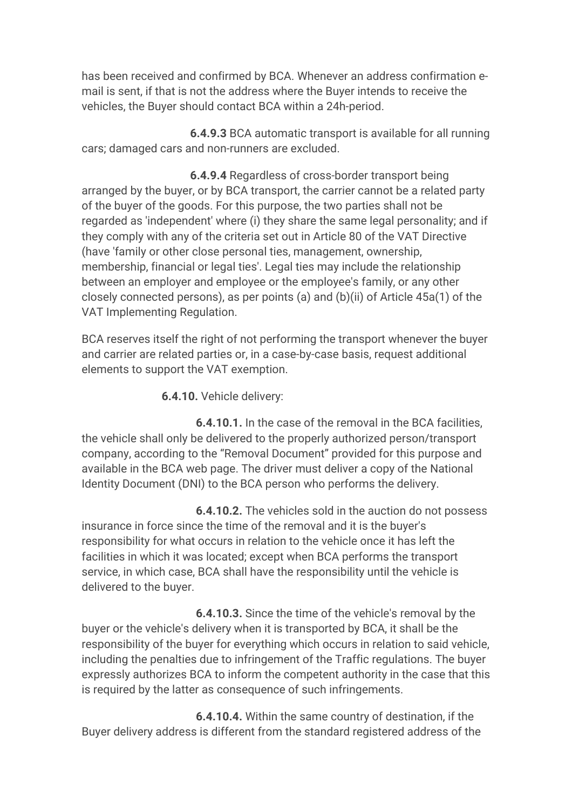has been received and confirmed by BCA. Whenever an address confirmation email is sent, if that is not the address where the Buyer intends to receive the vehicles, the Buyer should contact BCA within a 24h-period.

 **6.4.9.3** BCA automatic transport is available for all running cars; damaged cars and non-runners are excluded.

**6.4.9.4** Regardless of cross-border transport being arranged by the buyer, or by BCA transport, the carrier cannot be a related party of the buyer of the goods. For this purpose, the two parties shall not be regarded as 'independent' where (i) they share the same legal personality; and if they comply with any of the criteria set out in Article 80 of the VAT Directive (have 'family or other close personal ties, management, ownership, membership, financial or legal ties'. Legal ties may include the relationship between an employer and employee or the employee's family, or any other closely connected persons), as per points (a) and (b)(ii) of Article 45a(1) of the VAT Implementing Regulation.

BCA reserves itself the right of not performing the transport whenever the buyer and carrier are related parties or, in a case-by-case basis, request additional elements to support the VAT exemption.

**6.4.10.** Vehicle delivery:

 **6.4.10.1.** In the case of the removal in the BCA facilities, the vehicle shall only be delivered to the properly authorized person/transport company, according to the "Removal Document" provided for this purpose and available in the BCA web page. The driver must deliver a copy of the National Identity Document (DNI) to the BCA person who performs the delivery.

 **6.4.10.2.** The vehicles sold in the auction do not possess insurance in force since the time of the removal and it is the buyer's responsibility for what occurs in relation to the vehicle once it has left the facilities in which it was located; except when BCA performs the transport service, in which case, BCA shall have the responsibility until the vehicle is delivered to the buyer.

 **6.4.10.3.** Since the time of the vehicle's removal by the buyer or the vehicle's delivery when it is transported by BCA, it shall be the responsibility of the buyer for everything which occurs in relation to said vehicle, including the penalties due to infringement of the Traffic regulations. The buyer expressly authorizes BCA to inform the competent authority in the case that this is required by the latter as consequence of such infringements.

 **6.4.10.4.** Within the same country of destination, if the Buyer delivery address is different from the standard registered address of the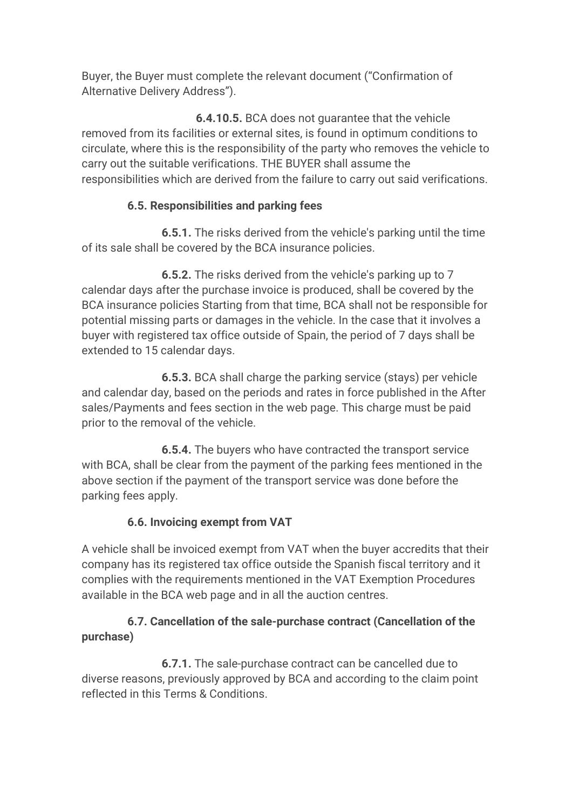Buyer, the Buyer must complete the relevant document ("Confirmation of Alternative Delivery Address").

 **6.4.10.5.** BCA does not guarantee that the vehicle removed from its facilities or external sites, is found in optimum conditions to circulate, where this is the responsibility of the party who removes the vehicle to carry out the suitable verifications. THE BUYER shall assume the responsibilities which are derived from the failure to carry out said verifications.

#### **6.5. Responsibilities and parking fees**

 **6.5.1.** The risks derived from the vehicle's parking until the time of its sale shall be covered by the BCA insurance policies.

 **6.5.2.** The risks derived from the vehicle's parking up to 7 calendar days after the purchase invoice is produced, shall be covered by the BCA insurance policies Starting from that time, BCA shall not be responsible for potential missing parts or damages in the vehicle. In the case that it involves a buyer with registered tax office outside of Spain, the period of 7 days shall be extended to 15 calendar days.

 **6.5.3.** BCA shall charge the parking service (stays) per vehicle and calendar day, based on the periods and rates in force published in the After sales/Payments and fees section in the web page. This charge must be paid prior to the removal of the vehicle.

 **6.5.4.** The buyers who have contracted the transport service with BCA, shall be clear from the payment of the parking fees mentioned in the above section if the payment of the transport service was done before the parking fees apply.

#### **6.6. Invoicing exempt from VAT**

A vehicle shall be invoiced exempt from VAT when the buyer accredits that their company has its registered tax office outside the Spanish fiscal territory and it complies with the requirements mentioned in the VAT Exemption Procedures available in the BCA web page and in all the auction centres.

#### **6.7. Cancellation of the sale-purchase contract (Cancellation of the purchase)**

 **6.7.1.** The sale-purchase contract can be cancelled due to diverse reasons, previously approved by BCA and according to the claim point reflected in this Terms & Conditions.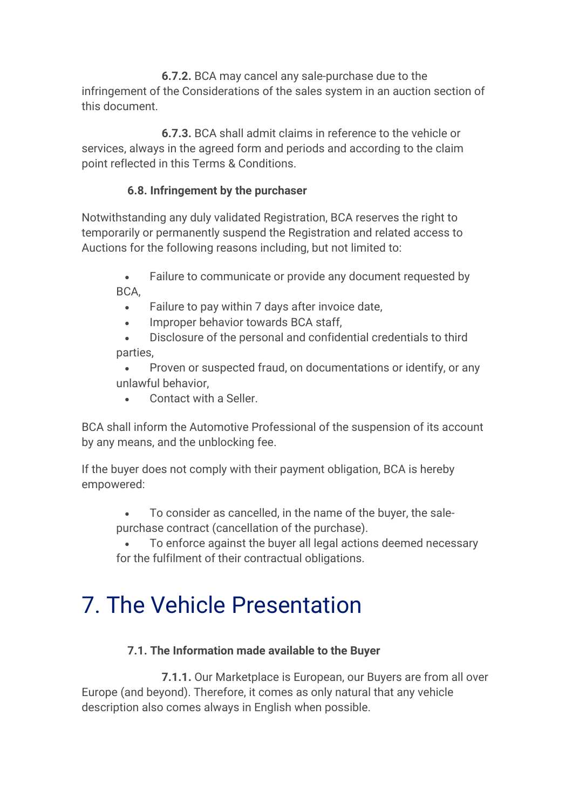**6.7.2.** BCA may cancel any sale-purchase due to the infringement of the Considerations of the sales system in an auction section of this document.

 **6.7.3.** BCA shall admit claims in reference to the vehicle or services, always in the agreed form and periods and according to the claim point reflected in this Terms & Conditions.

#### **6.8. Infringement by the purchaser**

Notwithstanding any duly validated Registration, BCA reserves the right to temporarily or permanently suspend the Registration and related access to Auctions for the following reasons including, but not limited to:

- Failure to communicate or provide any document requested by BCA,
	- Failure to pay within 7 days after invoice date,
	- Improper behavior towards BCA staff,
- Disclosure of the personal and confidential credentials to third parties,
- Proven or suspected fraud, on documentations or identify, or any unlawful behavior,
	- Contact with a Seller.

BCA shall inform the Automotive Professional of the suspension of its account by any means, and the unblocking fee.

If the buyer does not comply with their payment obligation, BCA is hereby empowered:

- To consider as cancelled, in the name of the buyer, the salepurchase contract (cancellation of the purchase).
- To enforce against the buyer all legal actions deemed necessary for the fulfilment of their contractual obligations.

### 7. The Vehicle Presentation

#### **7.1. The Information made available to the Buyer**

 **7.1.1.** Our Marketplace is European, our Buyers are from all over Europe (and beyond). Therefore, it comes as only natural that any vehicle description also comes always in English when possible.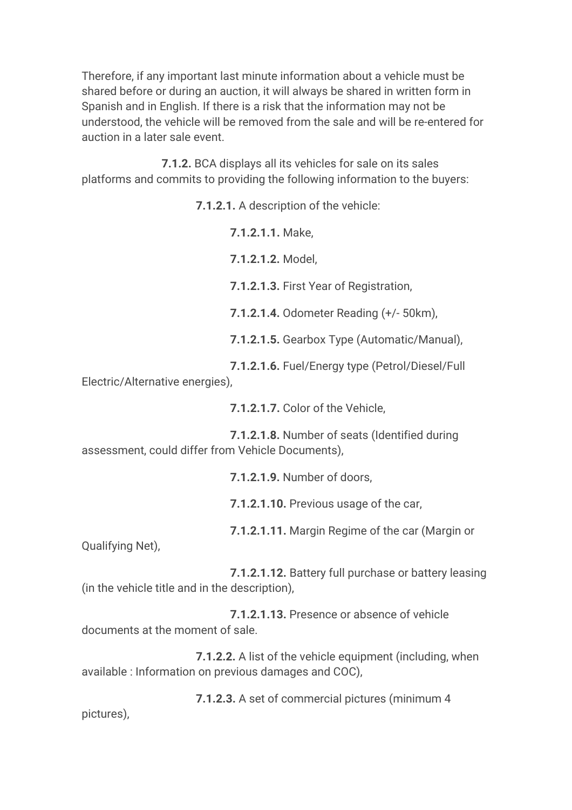Therefore, if any important last minute information about a vehicle must be shared before or during an auction, it will always be shared in written form in Spanish and in English. If there is a risk that the information may not be understood, the vehicle will be removed from the sale and will be re-entered for auction in a later sale event.

 **7.1.2.** BCA displays all its vehicles for sale on its sales platforms and commits to providing the following information to the buyers:

**7.1.2.1.** A description of the vehicle:

**7.1.2.1.1.** Make,

**7.1.2.1.2.** Model,

**7.1.2.1.3.** First Year of Registration,

**7.1.2.1.4.** Odometer Reading (+/- 50km),

**7.1.2.1.5.** Gearbox Type (Automatic/Manual),

**7.1.2.1.6.** Fuel/Energy type (Petrol/Diesel/Full

Electric/Alternative energies),

**7.1.2.1.7.** Color of the Vehicle,

 **7.1.2.1.8.** Number of seats (Identified during assessment, could differ from Vehicle Documents),

**7.1.2.1.9.** Number of doors,

**7.1.2.1.10.** Previous usage of the car,

**7.1.2.1.11.** Margin Regime of the car (Margin or

Qualifying Net),

 **7.1.2.1.12.** Battery full purchase or battery leasing (in the vehicle title and in the description),

 **7.1.2.1.13.** Presence or absence of vehicle documents at the moment of sale.

 **7.1.2.2.** A list of the vehicle equipment (including, when available : Information on previous damages and COC),

 **7.1.2.3.** A set of commercial pictures (minimum 4 pictures),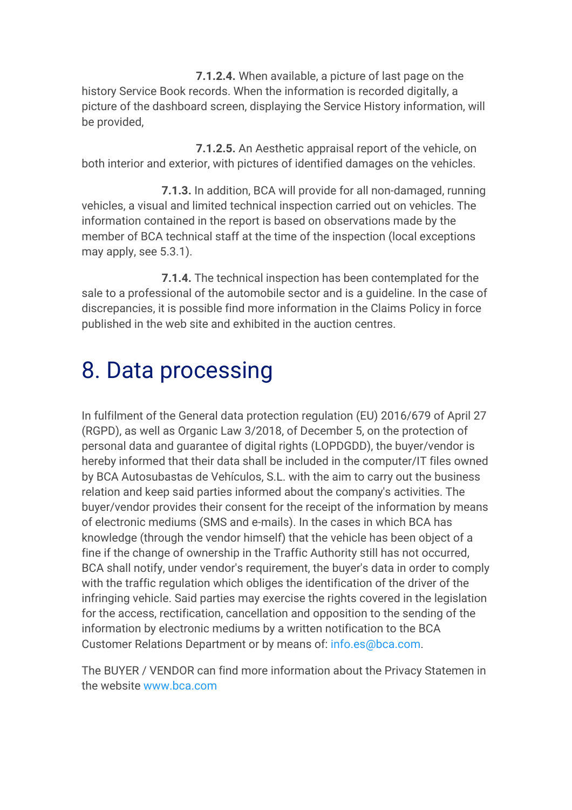**7.1.2.4.** When available, a picture of last page on the history Service Book records. When the information is recorded digitally, a picture of the dashboard screen, displaying the Service History information, will be provided,

 **7.1.2.5.** An Aesthetic appraisal report of the vehicle, on both interior and exterior, with pictures of identified damages on the vehicles.

 **7.1.3.** In addition, BCA will provide for all non-damaged, running vehicles, a visual and limited technical inspection carried out on vehicles. The information contained in the report is based on observations made by the member of BCA technical staff at the time of the inspection (local exceptions may apply, see 5.3.1).

 **7.1.4.** The technical inspection has been contemplated for the sale to a professional of the automobile sector and is a guideline. In the case of discrepancies, it is possible find more information in the Claims Policy in force published in the web site and exhibited in the auction centres.

## 8. Data processing

In fulfilment of the General data protection regulation (EU) 2016/679 of April 27 (RGPD), as well as Organic Law 3/2018, of December 5, on the protection of personal data and guarantee of digital rights (LOPDGDD), the buyer/vendor is hereby informed that their data shall be included in the computer/IT files owned by BCA Autosubastas de Vehículos, S.L. with the aim to carry out the business relation and keep said parties informed about the company's activities. The buyer/vendor provides their consent for the receipt of the information by means of electronic mediums (SMS and e-mails). In the cases in which BCA has knowledge (through the vendor himself) that the vehicle has been object of a fine if the change of ownership in the Traffic Authority still has not occurred, BCA shall notify, under vendor's requirement, the buyer's data in order to comply with the traffic regulation which obliges the identification of the driver of the infringing vehicle. Said parties may exercise the rights covered in the legislation for the access, rectification, cancellation and opposition to the sending of the information by electronic mediums by a written notification to the BCA Customer Relations Department or by means of: info.es@bca.com.

The BUYER / VENDOR can find more information about the Privacy Statemen in the website www.bca.com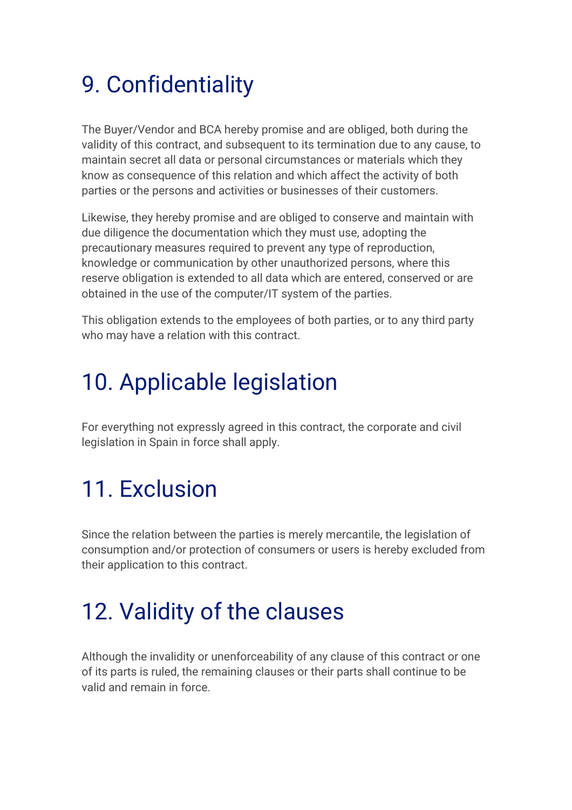## 9. Confidentiality

The Buyer/Vendor and BCA hereby promise and are obliged, both during the validity of this contract, and subsequent to its termination due to any cause, to maintain secret all data or personal circumstances or materials which they know as consequence of this relation and which affect the activity of both parties or the persons and activities or businesses of their customers.

Likewise, they hereby promise and are obliged to conserve and maintain with due diligence the documentation which they must use, adopting the precautionary measures required to prevent any type of reproduction, knowledge or communication by other unauthorized persons, where this reserve obligation is extended to all data which are entered, conserved or are obtained in the use of the computer/IT system of the parties.

This obligation extends to the employees of both parties, or to any third party who may have a relation with this contract.

### 10. Applicable legislation

For everything not expressly agreed in this contract, the corporate and civil legislation in Spain in force shall apply.

## 11. Exclusion

Since the relation between the parties is merely mercantile, the legislation of consumption and/or protection of consumers or users is hereby excluded from their application to this contract.

## 12. Validity of the clauses

Although the invalidity or unenforceability of any clause of this contract or one of its parts is ruled, the remaining clauses or their parts shall continue to be valid and remain in force.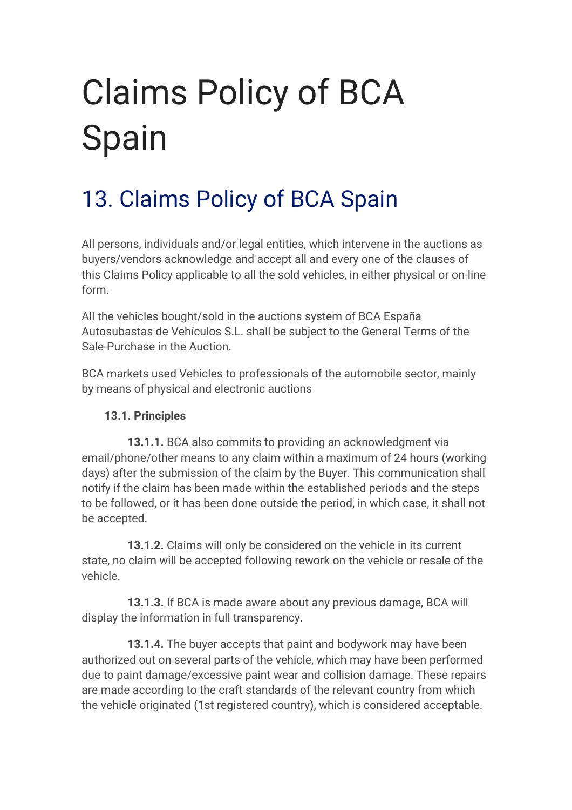# Claims Policy of BCA Spain

## 13. Claims Policy of BCA Spain

All persons, individuals and/or legal entities, which intervene in the auctions as buyers/vendors acknowledge and accept all and every one of the clauses of this Claims Policy applicable to all the sold vehicles, in either physical or on-line form.

All the vehicles bought/sold in the auctions system of BCA España Autosubastas de Vehículos S.L. shall be subject to the General Terms of the Sale-Purchase in the Auction.

BCA markets used Vehicles to professionals of the automobile sector, mainly by means of physical and electronic auctions

#### **13.1. Principles**

 **13.1.1.** BCA also commits to providing an acknowledgment via email/phone/other means to any claim within a maximum of 24 hours (working days) after the submission of the claim by the Buyer. This communication shall notify if the claim has been made within the established periods and the steps to be followed, or it has been done outside the period, in which case, it shall not be accepted.

 **13.1.2.** Claims will only be considered on the vehicle in its current state, no claim will be accepted following rework on the vehicle or resale of the vehicle.

 **13.1.3.** If BCA is made aware about any previous damage, BCA will display the information in full transparency.

 **13.1.4.** The buyer accepts that paint and bodywork may have been authorized out on several parts of the vehicle, which may have been performed due to paint damage/excessive paint wear and collision damage. These repairs are made according to the craft standards of the relevant country from which the vehicle originated (1st registered country), which is considered acceptable.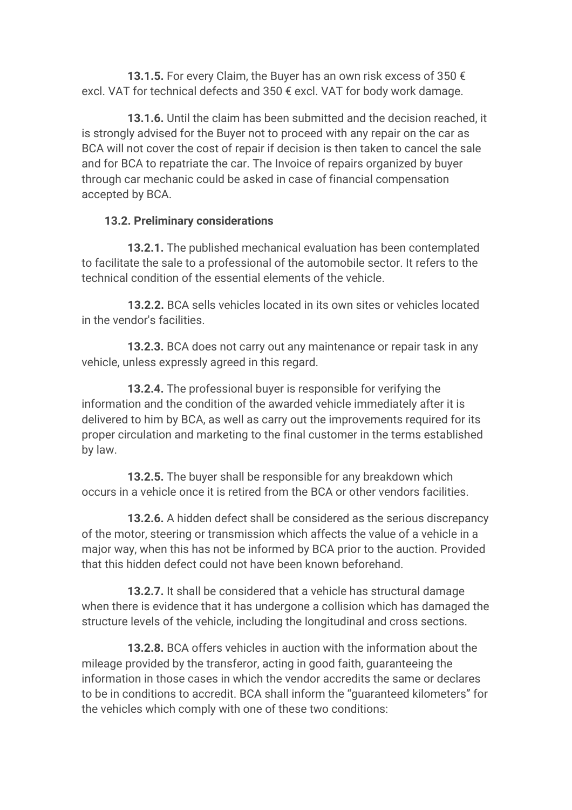**13.1.5.** For every Claim, the Buyer has an own risk excess of 350 € excl. VAT for technical defects and 350 € excl. VAT for body work damage.

 **13.1.6.** Until the claim has been submitted and the decision reached, it is strongly advised for the Buyer not to proceed with any repair on the car as BCA will not cover the cost of repair if decision is then taken to cancel the sale and for BCA to repatriate the car. The Invoice of repairs organized by buyer through car mechanic could be asked in case of financial compensation accepted by BCA.

#### **13.2. Preliminary considerations**

 **13.2.1.** The published mechanical evaluation has been contemplated to facilitate the sale to a professional of the automobile sector. It refers to the technical condition of the essential elements of the vehicle.

 **13.2.2.** BCA sells vehicles located in its own sites or vehicles located in the vendor's facilities.

 **13.2.3.** BCA does not carry out any maintenance or repair task in any vehicle, unless expressly agreed in this regard.

 **13.2.4.** The professional buyer is responsible for verifying the information and the condition of the awarded vehicle immediately after it is delivered to him by BCA, as well as carry out the improvements required for its proper circulation and marketing to the final customer in the terms established by law.

 **13.2.5.** The buyer shall be responsible for any breakdown which occurs in a vehicle once it is retired from the BCA or other vendors facilities.

 **13.2.6.** A hidden defect shall be considered as the serious discrepancy of the motor, steering or transmission which affects the value of a vehicle in a major way, when this has not be informed by BCA prior to the auction. Provided that this hidden defect could not have been known beforehand.

 **13.2.7.** It shall be considered that a vehicle has structural damage when there is evidence that it has undergone a collision which has damaged the structure levels of the vehicle, including the longitudinal and cross sections.

 **13.2.8.** BCA offers vehicles in auction with the information about the mileage provided by the transferor, acting in good faith, guaranteeing the information in those cases in which the vendor accredits the same or declares to be in conditions to accredit. BCA shall inform the "guaranteed kilometers" for the vehicles which comply with one of these two conditions: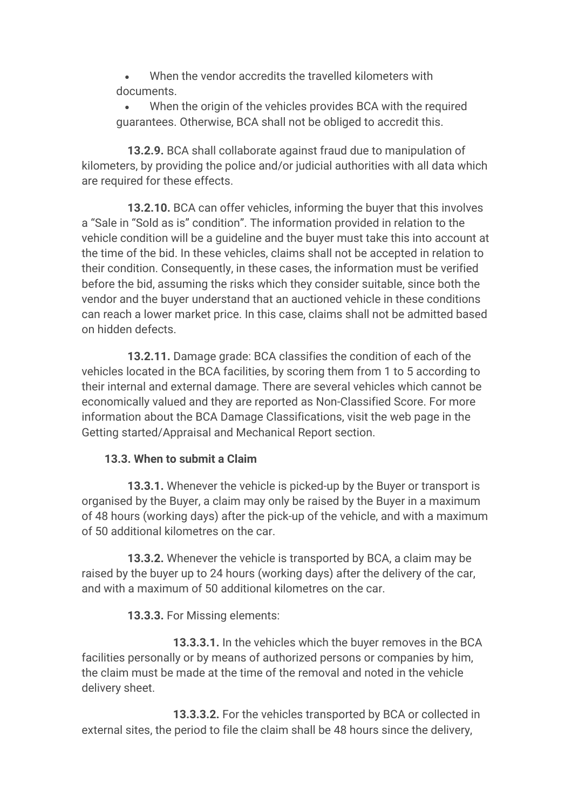- When the vendor accredits the travelled kilometers with documents.
- When the origin of the vehicles provides BCA with the required guarantees. Otherwise, BCA shall not be obliged to accredit this.

 **13.2.9.** BCA shall collaborate against fraud due to manipulation of kilometers, by providing the police and/or judicial authorities with all data which are required for these effects.

 **13.2.10.** BCA can offer vehicles, informing the buyer that this involves a "Sale in "Sold as is" condition". The information provided in relation to the vehicle condition will be a guideline and the buyer must take this into account at the time of the bid. In these vehicles, claims shall not be accepted in relation to their condition. Consequently, in these cases, the information must be verified before the bid, assuming the risks which they consider suitable, since both the vendor and the buyer understand that an auctioned vehicle in these conditions can reach a lower market price. In this case, claims shall not be admitted based on hidden defects.

 **13.2.11.** Damage grade: BCA classifies the condition of each of the vehicles located in the BCA facilities, by scoring them from 1 to 5 according to their internal and external damage. There are several vehicles which cannot be economically valued and they are reported as Non-Classified Score. For more information about the BCA Damage Classifications, visit the web page in the Getting started/Appraisal and Mechanical Report section.

#### **13.3. When to submit a Claim**

 **13.3.1.** Whenever the vehicle is picked-up by the Buyer or transport is organised by the Buyer, a claim may only be raised by the Buyer in a maximum of 48 hours (working days) after the pick-up of the vehicle, and with a maximum of 50 additional kilometres on the car.

 **13.3.2.** Whenever the vehicle is transported by BCA, a claim may be raised by the buyer up to 24 hours (working days) after the delivery of the car, and with a maximum of 50 additional kilometres on the car.

**13.3.3.** For Missing elements:

 **13.3.3.1.** In the vehicles which the buyer removes in the BCA facilities personally or by means of authorized persons or companies by him, the claim must be made at the time of the removal and noted in the vehicle delivery sheet.

 **13.3.3.2.** For the vehicles transported by BCA or collected in external sites, the period to file the claim shall be 48 hours since the delivery,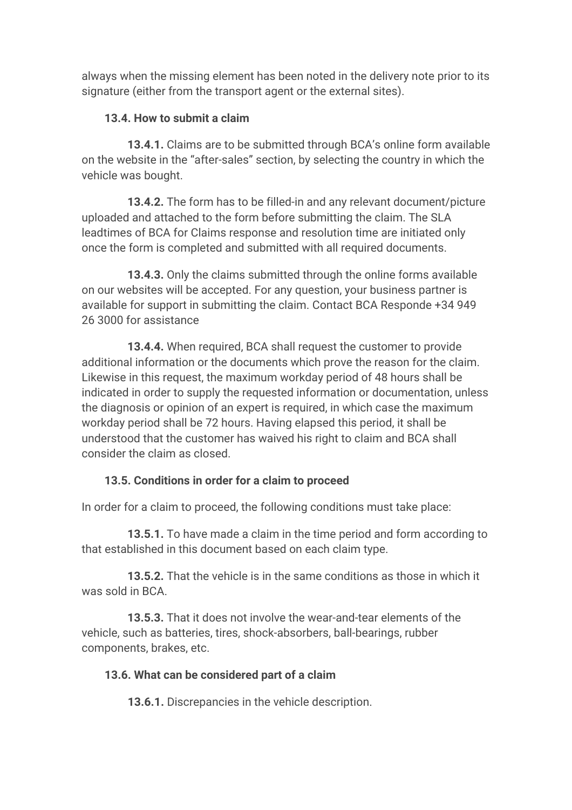always when the missing element has been noted in the delivery note prior to its signature (either from the transport agent or the external sites).

#### **13.4. How to submit a claim**

 **13.4.1.** Claims are to be submitted through BCA's online form available on the website in the "after-sales" section, by selecting the country in which the vehicle was bought.

 **13.4.2.** The form has to be filled-in and any relevant document/picture uploaded and attached to the form before submitting the claim. The SLA leadtimes of BCA for Claims response and resolution time are initiated only once the form is completed and submitted with all required documents.

 **13.4.3.** Only the claims submitted through the online forms available on our websites will be accepted. For any question, your business partner is available for support in submitting the claim. Contact BCA Responde +34 949 26 3000 for assistance

 **13.4.4.** When required, BCA shall request the customer to provide additional information or the documents which prove the reason for the claim. Likewise in this request, the maximum workday period of 48 hours shall be indicated in order to supply the requested information or documentation, unless the diagnosis or opinion of an expert is required, in which case the maximum workday period shall be 72 hours. Having elapsed this period, it shall be understood that the customer has waived his right to claim and BCA shall consider the claim as closed.

#### **13.5. Conditions in order for a claim to proceed**

In order for a claim to proceed, the following conditions must take place:

 **13.5.1.** To have made a claim in the time period and form according to that established in this document based on each claim type.

 **13.5.2.** That the vehicle is in the same conditions as those in which it was sold in BCA.

 **13.5.3.** That it does not involve the wear-and-tear elements of the vehicle, such as batteries, tires, shock-absorbers, ball-bearings, rubber components, brakes, etc.

#### **13.6. What can be considered part of a claim**

 **13.6.1.** Discrepancies in the vehicle description.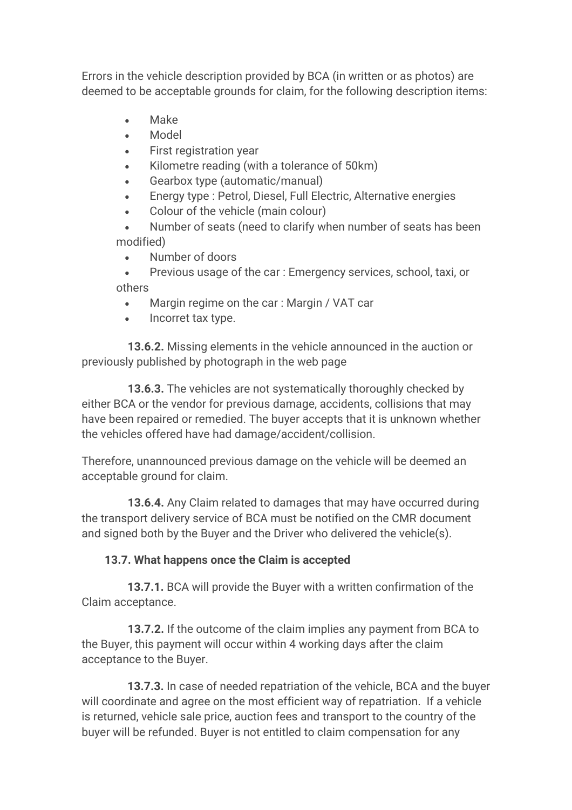Errors in the vehicle description provided by BCA (in written or as photos) are deemed to be acceptable grounds for claim, for the following description items:

- Make
- Model
- First registration year
- Kilometre reading (with a tolerance of 50km)
- Gearbox type (automatic/manual)
- Energy type : Petrol, Diesel, Full Electric, Alternative energies
- Colour of the vehicle (main colour)

• Number of seats (need to clarify when number of seats has been modified)

• Number of doors

• Previous usage of the car : Emergency services, school, taxi, or others

- Margin regime on the car: Margin / VAT car
- Incorret tax type.

 **13.6.2.** Missing elements in the vehicle announced in the auction or previously published by photograph in the web page

 **13.6.3.** The vehicles are not systematically thoroughly checked by either BCA or the vendor for previous damage, accidents, collisions that may have been repaired or remedied. The buyer accepts that it is unknown whether the vehicles offered have had damage/accident/collision.

Therefore, unannounced previous damage on the vehicle will be deemed an acceptable ground for claim.

 **13.6.4.** Any Claim related to damages that may have occurred during the transport delivery service of BCA must be notified on the CMR document and signed both by the Buyer and the Driver who delivered the vehicle(s).

#### **13.7. What happens once the Claim is accepted**

 **13.7.1.** BCA will provide the Buyer with a written confirmation of the Claim acceptance.

 **13.7.2.** If the outcome of the claim implies any payment from BCA to the Buyer, this payment will occur within 4 working days after the claim acceptance to the Buyer.

 **13.7.3.** In case of needed repatriation of the vehicle, BCA and the buyer will coordinate and agree on the most efficient way of repatriation. If a vehicle is returned, vehicle sale price, auction fees and transport to the country of the buyer will be refunded. Buyer is not entitled to claim compensation for any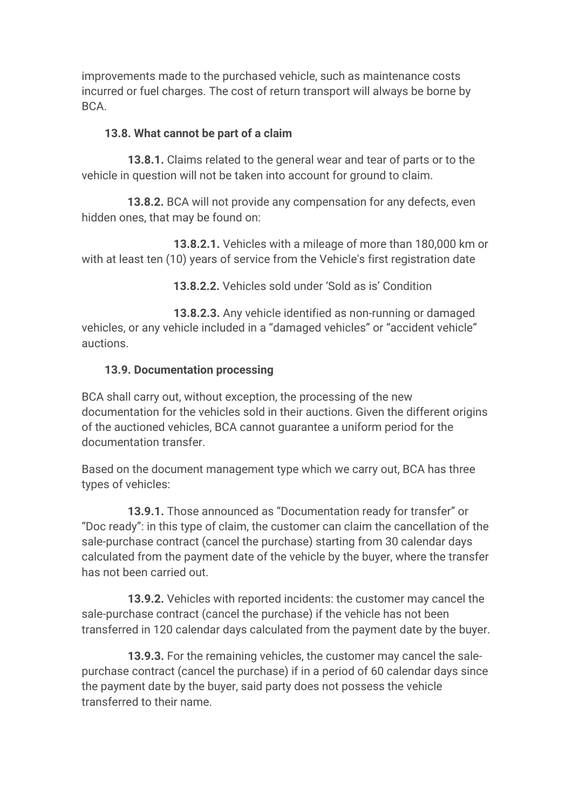improvements made to the purchased vehicle, such as maintenance costs incurred or fuel charges. The cost of return transport will always be borne by BCA.

#### **13.8. What cannot be part of a claim**

 **13.8.1.** Claims related to the general wear and tear of parts or to the vehicle in question will not be taken into account for ground to claim.

 **13.8.2.** BCA will not provide any compensation for any defects, even hidden ones, that may be found on:

 **13.8.2.1.** Vehicles with a mileage of more than 180,000 km or with at least ten (10) years of service from the Vehicle's first registration date

**13.8.2.2.** Vehicles sold under 'Sold as is' Condition

 **13.8.2.3.** Any vehicle identified as non-running or damaged vehicles, or any vehicle included in a "damaged vehicles" or "accident vehicle" auctions.

#### **13.9. Documentation processing**

BCA shall carry out, without exception, the processing of the new documentation for the vehicles sold in their auctions. Given the different origins of the auctioned vehicles, BCA cannot guarantee a uniform period for the documentation transfer.

Based on the document management type which we carry out, BCA has three types of vehicles:

 **13.9.1.** Those announced as "Documentation ready for transfer" or "Doc ready": in this type of claim, the customer can claim the cancellation of the sale-purchase contract (cancel the purchase) starting from 30 calendar days calculated from the payment date of the vehicle by the buyer, where the transfer has not been carried out.

 **13.9.2.** Vehicles with reported incidents: the customer may cancel the sale-purchase contract (cancel the purchase) if the vehicle has not been transferred in 120 calendar days calculated from the payment date by the buyer.

 **13.9.3.** For the remaining vehicles, the customer may cancel the salepurchase contract (cancel the purchase) if in a period of 60 calendar days since the payment date by the buyer, said party does not possess the vehicle transferred to their name.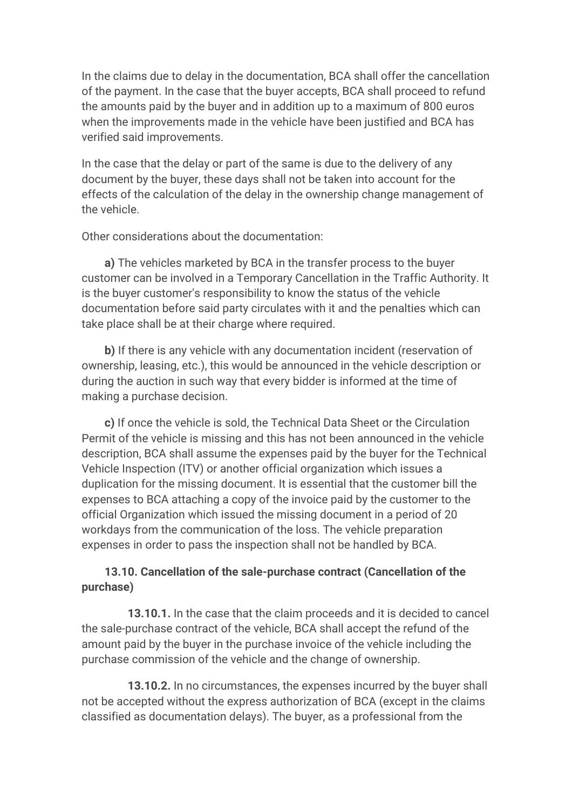In the claims due to delay in the documentation, BCA shall offer the cancellation of the payment. In the case that the buyer accepts, BCA shall proceed to refund the amounts paid by the buyer and in addition up to a maximum of 800 euros when the improvements made in the vehicle have been justified and BCA has verified said improvements.

In the case that the delay or part of the same is due to the delivery of any document by the buyer, these days shall not be taken into account for the effects of the calculation of the delay in the ownership change management of the vehicle.

Other considerations about the documentation:

 **a)** The vehicles marketed by BCA in the transfer process to the buyer customer can be involved in a Temporary Cancellation in the Traffic Authority. It is the buyer customer's responsibility to know the status of the vehicle documentation before said party circulates with it and the penalties which can take place shall be at their charge where required.

 **b)** If there is any vehicle with any documentation incident (reservation of ownership, leasing, etc.), this would be announced in the vehicle description or during the auction in such way that every bidder is informed at the time of making a purchase decision.

 **c)** If once the vehicle is sold, the Technical Data Sheet or the Circulation Permit of the vehicle is missing and this has not been announced in the vehicle description, BCA shall assume the expenses paid by the buyer for the Technical Vehicle Inspection (ITV) or another official organization which issues a duplication for the missing document. It is essential that the customer bill the expenses to BCA attaching a copy of the invoice paid by the customer to the official Organization which issued the missing document in a period of 20 workdays from the communication of the loss. The vehicle preparation expenses in order to pass the inspection shall not be handled by BCA.

#### **13.10. Cancellation of the sale-purchase contract (Cancellation of the purchase)**

 **13.10.1.** In the case that the claim proceeds and it is decided to cancel the sale-purchase contract of the vehicle, BCA shall accept the refund of the amount paid by the buyer in the purchase invoice of the vehicle including the purchase commission of the vehicle and the change of ownership.

 **13.10.2.** In no circumstances, the expenses incurred by the buyer shall not be accepted without the express authorization of BCA (except in the claims classified as documentation delays). The buyer, as a professional from the